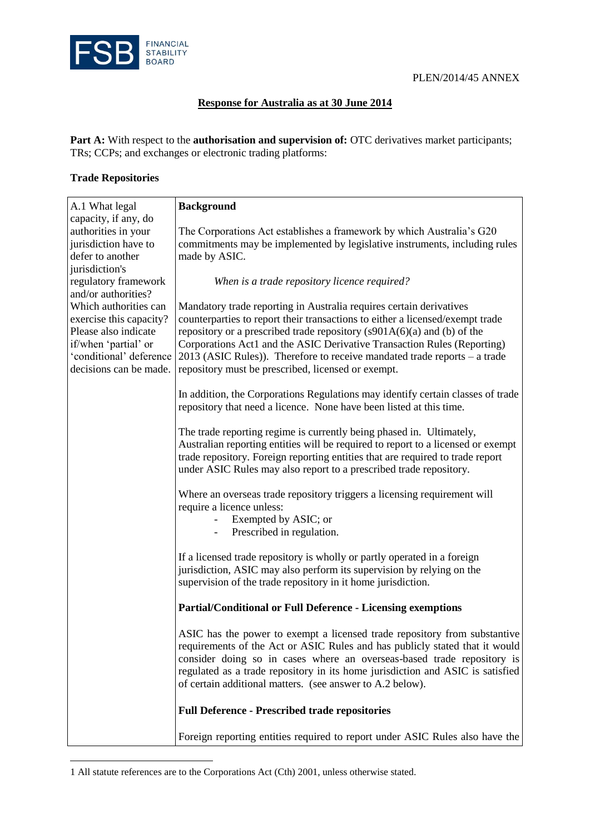

#### **Response for Australia as at 30 June 2014**

Part A: With respect to the **authorisation and supervision of:** OTC derivatives market participants; TRs; CCPs; and exchanges or electronic trading platforms:

#### **Trade Repositories**

 $\overline{a}$ 

| A.1 What legal                         | <b>Background</b>                                                                                                                                        |  |
|----------------------------------------|----------------------------------------------------------------------------------------------------------------------------------------------------------|--|
| capacity, if any, do                   |                                                                                                                                                          |  |
| authorities in your                    | The Corporations Act establishes a framework by which Australia's G20                                                                                    |  |
| jurisdiction have to                   | commitments may be implemented by legislative instruments, including rules                                                                               |  |
| defer to another                       | made by ASIC.                                                                                                                                            |  |
| jurisdiction's<br>regulatory framework | When is a trade repository licence required?                                                                                                             |  |
| and/or authorities?                    |                                                                                                                                                          |  |
| Which authorities can                  | Mandatory trade reporting in Australia requires certain derivatives                                                                                      |  |
| exercise this capacity?                | counterparties to report their transactions to either a licensed/exempt trade                                                                            |  |
| Please also indicate                   | repository or a prescribed trade repository $(s901A(6)(a)$ and (b) of the                                                                                |  |
| if/when 'partial' or                   | Corporations Act1 and the ASIC Derivative Transaction Rules (Reporting)                                                                                  |  |
| 'conditional' deference                | $2013$ (ASIC Rules)). Therefore to receive mandated trade reports – a trade                                                                              |  |
| decisions can be made.                 | repository must be prescribed, licensed or exempt.                                                                                                       |  |
|                                        |                                                                                                                                                          |  |
|                                        | In addition, the Corporations Regulations may identify certain classes of trade                                                                          |  |
|                                        | repository that need a licence. None have been listed at this time.                                                                                      |  |
|                                        |                                                                                                                                                          |  |
|                                        | The trade reporting regime is currently being phased in. Ultimately,<br>Australian reporting entities will be required to report to a licensed or exempt |  |
|                                        | trade repository. Foreign reporting entities that are required to trade report                                                                           |  |
|                                        | under ASIC Rules may also report to a prescribed trade repository.                                                                                       |  |
|                                        |                                                                                                                                                          |  |
|                                        | Where an overseas trade repository triggers a licensing requirement will                                                                                 |  |
|                                        | require a licence unless:                                                                                                                                |  |
|                                        | Exempted by ASIC; or                                                                                                                                     |  |
|                                        | Prescribed in regulation.                                                                                                                                |  |
|                                        |                                                                                                                                                          |  |
|                                        | If a licensed trade repository is wholly or partly operated in a foreign                                                                                 |  |
|                                        | jurisdiction, ASIC may also perform its supervision by relying on the                                                                                    |  |
|                                        | supervision of the trade repository in it home jurisdiction.                                                                                             |  |
|                                        | <b>Partial/Conditional or Full Deference - Licensing exemptions</b>                                                                                      |  |
|                                        | ASIC has the power to exempt a licensed trade repository from substantive                                                                                |  |
|                                        | requirements of the Act or ASIC Rules and has publicly stated that it would                                                                              |  |
|                                        | consider doing so in cases where an overseas-based trade repository is                                                                                   |  |
|                                        | regulated as a trade repository in its home jurisdiction and ASIC is satisfied                                                                           |  |
|                                        | of certain additional matters. (see answer to A.2 below).                                                                                                |  |
|                                        |                                                                                                                                                          |  |
|                                        | <b>Full Deference - Prescribed trade repositories</b>                                                                                                    |  |
|                                        | Foreign reporting entities required to report under ASIC Rules also have the                                                                             |  |

<sup>1</sup> All statute references are to the Corporations Act (Cth) 2001, unless otherwise stated.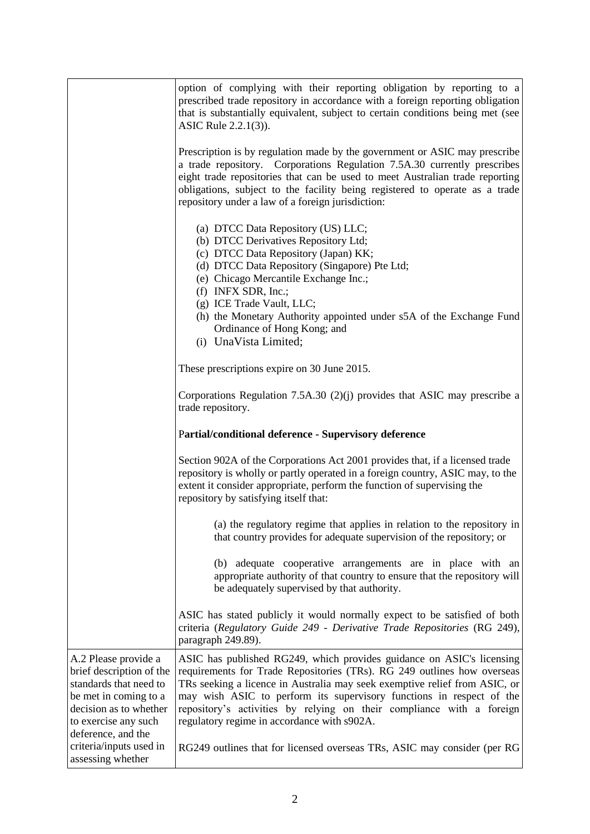|                                                                                                                                                                             | option of complying with their reporting obligation by reporting to a<br>prescribed trade repository in accordance with a foreign reporting obligation<br>that is substantially equivalent, subject to certain conditions being met (see<br>ASIC Rule 2.2.1(3)).                                                                                                                                                               |
|-----------------------------------------------------------------------------------------------------------------------------------------------------------------------------|--------------------------------------------------------------------------------------------------------------------------------------------------------------------------------------------------------------------------------------------------------------------------------------------------------------------------------------------------------------------------------------------------------------------------------|
|                                                                                                                                                                             | Prescription is by regulation made by the government or ASIC may prescribe<br>a trade repository. Corporations Regulation 7.5A.30 currently prescribes<br>eight trade repositories that can be used to meet Australian trade reporting<br>obligations, subject to the facility being registered to operate as a trade<br>repository under a law of a foreign jurisdiction:                                                     |
|                                                                                                                                                                             | (a) DTCC Data Repository (US) LLC;<br>(b) DTCC Derivatives Repository Ltd;<br>(c) DTCC Data Repository (Japan) KK;<br>(d) DTCC Data Repository (Singapore) Pte Ltd;<br>(e) Chicago Mercantile Exchange Inc.;<br>(f) INFX SDR, Inc.;<br>(g) ICE Trade Vault, LLC;<br>(h) the Monetary Authority appointed under s5A of the Exchange Fund<br>Ordinance of Hong Kong; and<br>(i) UnaVista Limited;                                |
|                                                                                                                                                                             | These prescriptions expire on 30 June 2015.                                                                                                                                                                                                                                                                                                                                                                                    |
|                                                                                                                                                                             | Corporations Regulation 7.5A.30 $(2)(j)$ provides that ASIC may prescribe a<br>trade repository.                                                                                                                                                                                                                                                                                                                               |
|                                                                                                                                                                             |                                                                                                                                                                                                                                                                                                                                                                                                                                |
|                                                                                                                                                                             | Partial/conditional deference - Supervisory deference                                                                                                                                                                                                                                                                                                                                                                          |
|                                                                                                                                                                             | Section 902A of the Corporations Act 2001 provides that, if a licensed trade<br>repository is wholly or partly operated in a foreign country, ASIC may, to the<br>extent it consider appropriate, perform the function of supervising the<br>repository by satisfying itself that:                                                                                                                                             |
|                                                                                                                                                                             | (a) the regulatory regime that applies in relation to the repository in<br>that country provides for adequate supervision of the repository; or                                                                                                                                                                                                                                                                                |
|                                                                                                                                                                             | (b) adequate cooperative arrangements are in place with an<br>appropriate authority of that country to ensure that the repository will<br>be adequately supervised by that authority.                                                                                                                                                                                                                                          |
|                                                                                                                                                                             | ASIC has stated publicly it would normally expect to be satisfied of both<br>criteria (Regulatory Guide 249 - Derivative Trade Repositories (RG 249),<br>paragraph 249.89).                                                                                                                                                                                                                                                    |
| A.2 Please provide a<br>brief description of the<br>standards that need to<br>be met in coming to a<br>decision as to whether<br>to exercise any such<br>deference, and the | ASIC has published RG249, which provides guidance on ASIC's licensing<br>requirements for Trade Repositories (TRs). RG 249 outlines how overseas<br>TRs seeking a licence in Australia may seek exemptive relief from ASIC, or<br>may wish ASIC to perform its supervisory functions in respect of the<br>repository's activities by relying on their compliance with a foreign<br>regulatory regime in accordance with s902A. |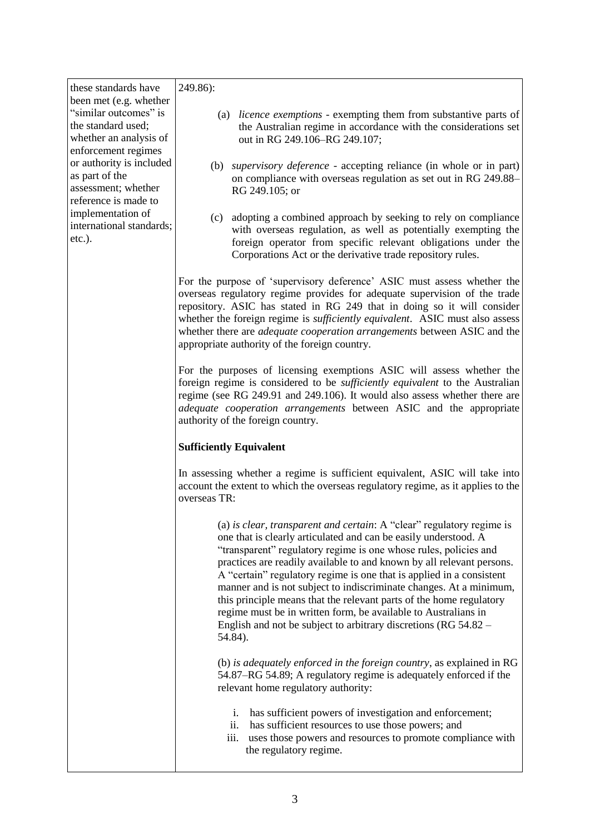these standards have been met (e.g. whether "similar outcomes" is the standard used; whether an analysis of enforcement regimes or authority is included as part of the assessment; whether reference is made to implementation of international standards; etc.).

#### 249.86):

- (a) *licence exemptions* exempting them from substantive parts of the Australian regime in accordance with the considerations set out in RG 249.106–RG 249.107;
- (b) *supervisory deference* accepting reliance (in whole or in part) on compliance with overseas regulation as set out in RG 249.88– RG 249.105; or
- (c) adopting a combined approach by seeking to rely on compliance with overseas regulation, as well as potentially exempting the foreign operator from specific relevant obligations under the Corporations Act or the derivative trade repository rules.

For the purpose of 'supervisory deference' ASIC must assess whether the overseas regulatory regime provides for adequate supervision of the trade repository. ASIC has stated in RG 249 that in doing so it will consider whether the foreign regime is *sufficiently equivalent*. ASIC must also assess whether there are *adequate cooperation arrangements* between ASIC and the appropriate authority of the foreign country.

For the purposes of licensing exemptions ASIC will assess whether the foreign regime is considered to be *sufficiently equivalent* to the Australian regime (see RG 249.91 and 249.106). It would also assess whether there are *adequate cooperation arrangements* between ASIC and the appropriate authority of the foreign country.

#### **Sufficiently Equivalent**

In assessing whether a regime is sufficient equivalent, ASIC will take into account the extent to which the overseas regulatory regime, as it applies to the overseas TR:

> (a) *is clear, transparent and certain*: A "clear" regulatory regime is one that is clearly articulated and can be easily understood. A "transparent" regulatory regime is one whose rules, policies and practices are readily available to and known by all relevant persons. A "certain" regulatory regime is one that is applied in a consistent manner and is not subject to indiscriminate changes. At a minimum, this principle means that the relevant parts of the home regulatory regime must be in written form, be available to Australians in English and not be subject to arbitrary discretions (RG 54.82 – 54.84).

(b) *is adequately enforced in the foreign country*, as explained in RG 54.87–RG 54.89; A regulatory regime is adequately enforced if the relevant home regulatory authority:

- i. has sufficient powers of investigation and enforcement;
- ii. has sufficient resources to use those powers; and
- iii. uses those powers and resources to promote compliance with the regulatory regime.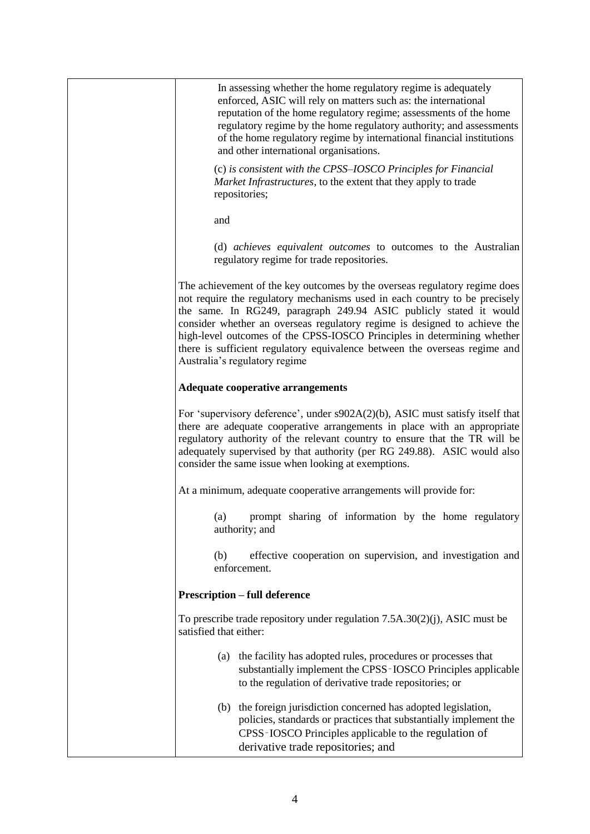| In assessing whether the home regulatory regime is adequately<br>enforced, ASIC will rely on matters such as: the international<br>reputation of the home regulatory regime; assessments of the home<br>regulatory regime by the home regulatory authority; and assessments<br>of the home regulatory regime by international financial institutions<br>and other international organisations.                                                                                                        |
|-------------------------------------------------------------------------------------------------------------------------------------------------------------------------------------------------------------------------------------------------------------------------------------------------------------------------------------------------------------------------------------------------------------------------------------------------------------------------------------------------------|
| (c) is consistent with the CPSS-IOSCO Principles for Financial<br>Market Infrastructures, to the extent that they apply to trade<br>repositories;                                                                                                                                                                                                                                                                                                                                                     |
| and                                                                                                                                                                                                                                                                                                                                                                                                                                                                                                   |
| (d) achieves equivalent outcomes to outcomes to the Australian<br>regulatory regime for trade repositories.                                                                                                                                                                                                                                                                                                                                                                                           |
| The achievement of the key outcomes by the overseas regulatory regime does<br>not require the regulatory mechanisms used in each country to be precisely<br>the same. In RG249, paragraph 249.94 ASIC publicly stated it would<br>consider whether an overseas regulatory regime is designed to achieve the<br>high-level outcomes of the CPSS-IOSCO Principles in determining whether<br>there is sufficient regulatory equivalence between the overseas regime and<br>Australia's regulatory regime |
| <b>Adequate cooperative arrangements</b>                                                                                                                                                                                                                                                                                                                                                                                                                                                              |
| For 'supervisory deference', under s902A(2)(b), ASIC must satisfy itself that<br>there are adequate cooperative arrangements in place with an appropriate<br>regulatory authority of the relevant country to ensure that the TR will be<br>adequately supervised by that authority (per RG 249.88). ASIC would also<br>consider the same issue when looking at exemptions.                                                                                                                            |
| At a minimum, adequate cooperative arrangements will provide for:                                                                                                                                                                                                                                                                                                                                                                                                                                     |
| prompt sharing of information by the home regulatory<br>(a)<br>authority; and                                                                                                                                                                                                                                                                                                                                                                                                                         |
| effective cooperation on supervision, and investigation and<br>(b)<br>enforcement.                                                                                                                                                                                                                                                                                                                                                                                                                    |
| <b>Prescription – full deference</b>                                                                                                                                                                                                                                                                                                                                                                                                                                                                  |
| To prescribe trade repository under regulation $7.5A.30(2)(i)$ , ASIC must be<br>satisfied that either:                                                                                                                                                                                                                                                                                                                                                                                               |
| (a) the facility has adopted rules, procedures or processes that<br>substantially implement the CPSS-IOSCO Principles applicable<br>to the regulation of derivative trade repositories; or                                                                                                                                                                                                                                                                                                            |
| (b) the foreign jurisdiction concerned has adopted legislation,<br>policies, standards or practices that substantially implement the<br>CPSS-IOSCO Principles applicable to the regulation of<br>derivative trade repositories; and                                                                                                                                                                                                                                                                   |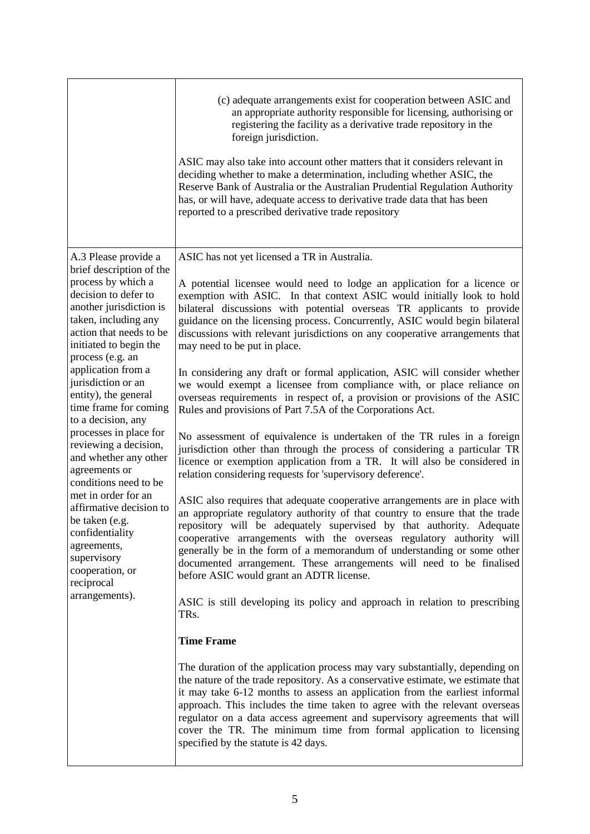|                                                                                                                                                                                                                                                                                                                                                                                                                                                                                                                                                                                                                                             | (c) adequate arrangements exist for cooperation between ASIC and<br>an appropriate authority responsible for licensing, authorising or<br>registering the facility as a derivative trade repository in the<br>foreign jurisdiction.<br>ASIC may also take into account other matters that it considers relevant in<br>deciding whether to make a determination, including whether ASIC, the<br>Reserve Bank of Australia or the Australian Prudential Regulation Authority<br>has, or will have, adequate access to derivative trade data that has been<br>reported to a prescribed derivative trade repository |
|---------------------------------------------------------------------------------------------------------------------------------------------------------------------------------------------------------------------------------------------------------------------------------------------------------------------------------------------------------------------------------------------------------------------------------------------------------------------------------------------------------------------------------------------------------------------------------------------------------------------------------------------|-----------------------------------------------------------------------------------------------------------------------------------------------------------------------------------------------------------------------------------------------------------------------------------------------------------------------------------------------------------------------------------------------------------------------------------------------------------------------------------------------------------------------------------------------------------------------------------------------------------------|
| A.3 Please provide a<br>brief description of the<br>process by which a<br>decision to defer to<br>another jurisdiction is<br>taken, including any<br>action that needs to be<br>initiated to begin the<br>process (e.g. an<br>application from a<br>jurisdiction or an<br>entity), the general<br>time frame for coming<br>to a decision, any<br>processes in place for<br>reviewing a decision,<br>and whether any other<br>agreements or<br>conditions need to be<br>met in order for an<br>affirmative decision to<br>be taken (e.g.<br>confidentiality<br>agreements,<br>supervisory<br>cooperation, or<br>reciprocal<br>arrangements). | ASIC has not yet licensed a TR in Australia.<br>A potential licensee would need to lodge an application for a licence or<br>exemption with ASIC. In that context ASIC would initially look to hold<br>bilateral discussions with potential overseas TR applicants to provide<br>guidance on the licensing process. Concurrently, ASIC would begin bilateral<br>discussions with relevant jurisdictions on any cooperative arrangements that<br>may need to be put in place.                                                                                                                                     |
|                                                                                                                                                                                                                                                                                                                                                                                                                                                                                                                                                                                                                                             | In considering any draft or formal application, ASIC will consider whether<br>we would exempt a licensee from compliance with, or place reliance on<br>overseas requirements in respect of, a provision or provisions of the ASIC<br>Rules and provisions of Part 7.5A of the Corporations Act.<br>No assessment of equivalence is undertaken of the TR rules in a foreign<br>jurisdiction other than through the process of considering a particular TR<br>licence or exemption application from a TR. It will also be considered in                                                                           |
|                                                                                                                                                                                                                                                                                                                                                                                                                                                                                                                                                                                                                                             | relation considering requests for 'supervisory deference'.<br>ASIC also requires that adequate cooperative arrangements are in place with<br>an appropriate regulatory authority of that country to ensure that the trade<br>repository will be adequately supervised by that authority. Adequate<br>cooperative arrangements with the overseas regulatory authority will<br>generally be in the form of a memorandum of understanding or some other<br>documented arrangement. These arrangements will need to be finalised<br>before ASIC would grant an ADTR license.                                        |
|                                                                                                                                                                                                                                                                                                                                                                                                                                                                                                                                                                                                                                             | ASIC is still developing its policy and approach in relation to prescribing<br>TRs.                                                                                                                                                                                                                                                                                                                                                                                                                                                                                                                             |
|                                                                                                                                                                                                                                                                                                                                                                                                                                                                                                                                                                                                                                             | <b>Time Frame</b><br>The duration of the application process may vary substantially, depending on<br>the nature of the trade repository. As a conservative estimate, we estimate that<br>it may take 6-12 months to assess an application from the earliest informal<br>approach. This includes the time taken to agree with the relevant overseas<br>regulator on a data access agreement and supervisory agreements that will<br>cover the TR. The minimum time from formal application to licensing<br>specified by the statute is 42 days.                                                                  |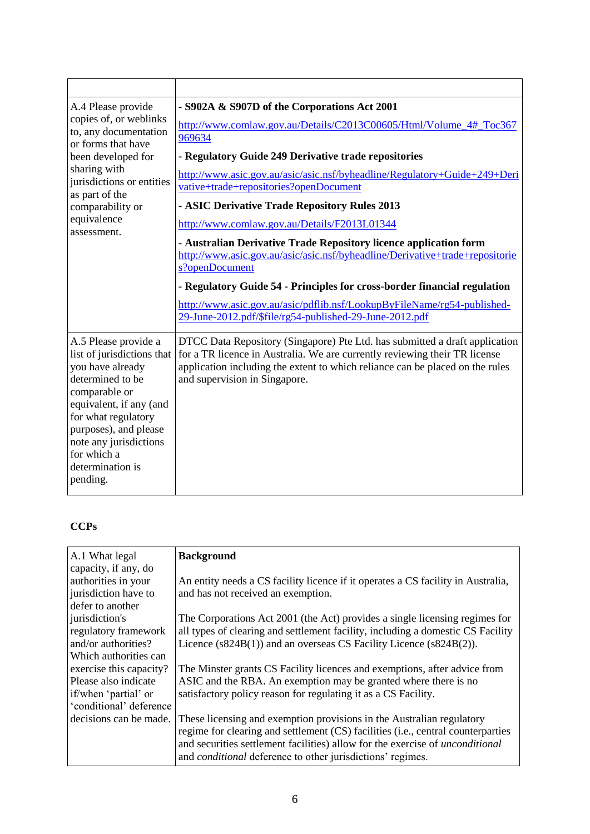| A.4 Please provide<br>copies of, or weblinks<br>to, any documentation<br>or forms that have<br>been developed for<br>sharing with<br>jurisdictions or entities<br>as part of the<br>comparability or<br>equivalence<br>assessment.                              | - S902A & S907D of the Corporations Act 2001<br>http://www.comlaw.gov.au/Details/C2013C00605/Html/Volume_4#_Toc367<br>969634<br>- Regulatory Guide 249 Derivative trade repositories<br>http://www.asic.gov.au/asic/asic.nsf/byheadline/Regulatory+Guide+249+Deri<br>vative+trade+repositories?openDocument<br>- ASIC Derivative Trade Repository Rules 2013<br>http://www.comlaw.gov.au/Details/F2013L01344<br>- Australian Derivative Trade Repository licence application form<br>http://www.asic.gov.au/asic/asic.nsf/byheadline/Derivative+trade+repositorie<br>s?openDocument<br>- Regulatory Guide 54 - Principles for cross-border financial regulation<br>http://www.asic.gov.au/asic/pdflib.nsf/LookupByFileName/rg54-published-<br>29-June-2012.pdf/\$file/rg54-published-29-June-2012.pdf |
|-----------------------------------------------------------------------------------------------------------------------------------------------------------------------------------------------------------------------------------------------------------------|-------------------------------------------------------------------------------------------------------------------------------------------------------------------------------------------------------------------------------------------------------------------------------------------------------------------------------------------------------------------------------------------------------------------------------------------------------------------------------------------------------------------------------------------------------------------------------------------------------------------------------------------------------------------------------------------------------------------------------------------------------------------------------------------------------|
| A.5 Please provide a<br>list of jurisdictions that<br>you have already<br>determined to be<br>comparable or<br>equivalent, if any (and<br>for what regulatory<br>purposes), and please<br>note any jurisdictions<br>for which a<br>determination is<br>pending. | DTCC Data Repository (Singapore) Pte Ltd. has submitted a draft application<br>for a TR licence in Australia. We are currently reviewing their TR license<br>application including the extent to which reliance can be placed on the rules<br>and supervision in Singapore.                                                                                                                                                                                                                                                                                                                                                                                                                                                                                                                           |

# **CCPs**

| A.1 What legal          | <b>Background</b>                                                                    |
|-------------------------|--------------------------------------------------------------------------------------|
| capacity, if any, do    |                                                                                      |
| authorities in your     | An entity needs a CS facility licence if it operates a CS facility in Australia,     |
| jurisdiction have to    | and has not received an exemption.                                                   |
| defer to another        |                                                                                      |
| jurisdiction's          | The Corporations Act 2001 (the Act) provides a single licensing regimes for          |
| regulatory framework    | all types of clearing and settlement facility, including a domestic CS Facility      |
| and/or authorities?     | Licence (s824B(1)) and an overseas CS Facility Licence (s824B(2)).                   |
| Which authorities can   |                                                                                      |
| exercise this capacity? | The Minster grants CS Facility licences and exemptions, after advice from            |
| Please also indicate    | ASIC and the RBA. An exemption may be granted where there is no                      |
| if/when 'partial' or    | satisfactory policy reason for regulating it as a CS Facility.                       |
| 'conditional' deference |                                                                                      |
| decisions can be made.  | These licensing and exemption provisions in the Australian regulatory                |
|                         | regime for clearing and settlement (CS) facilities (i.e., central counterparties     |
|                         | and securities settlement facilities) allow for the exercise of <i>unconditional</i> |
|                         | and <i>conditional</i> deference to other jurisdictions' regimes.                    |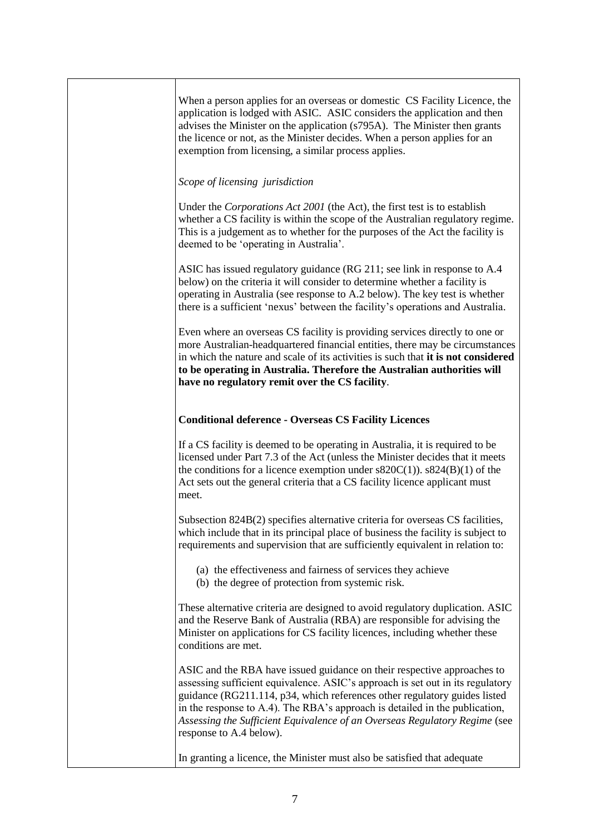| When a person applies for an overseas or domestic CS Facility Licence, the<br>application is lodged with ASIC. ASIC considers the application and then<br>advises the Minister on the application (s795A). The Minister then grants<br>the licence or not, as the Minister decides. When a person applies for an<br>exemption from licensing, a similar process applies.                                                       |
|--------------------------------------------------------------------------------------------------------------------------------------------------------------------------------------------------------------------------------------------------------------------------------------------------------------------------------------------------------------------------------------------------------------------------------|
| Scope of licensing jurisdiction                                                                                                                                                                                                                                                                                                                                                                                                |
| Under the <i>Corporations Act 2001</i> (the Act), the first test is to establish<br>whether a CS facility is within the scope of the Australian regulatory regime.<br>This is a judgement as to whether for the purposes of the Act the facility is<br>deemed to be 'operating in Australia'.                                                                                                                                  |
| ASIC has issued regulatory guidance (RG 211; see link in response to A.4<br>below) on the criteria it will consider to determine whether a facility is<br>operating in Australia (see response to A.2 below). The key test is whether<br>there is a sufficient 'nexus' between the facility's operations and Australia.                                                                                                        |
| Even where an overseas CS facility is providing services directly to one or<br>more Australian-headquartered financial entities, there may be circumstances<br>in which the nature and scale of its activities is such that it is not considered<br>to be operating in Australia. Therefore the Australian authorities will<br>have no regulatory remit over the CS facility.                                                  |
| <b>Conditional deference - Overseas CS Facility Licences</b>                                                                                                                                                                                                                                                                                                                                                                   |
| If a CS facility is deemed to be operating in Australia, it is required to be<br>licensed under Part 7.3 of the Act (unless the Minister decides that it meets<br>the conditions for a licence exemption under $s820C(1)$ ). $s824(B)(1)$ of the<br>Act sets out the general criteria that a CS facility licence applicant must<br>meet.                                                                                       |
| Subsection 824B(2) specifies alternative criteria for overseas CS facilities,<br>which include that in its principal place of business the facility is subject to<br>requirements and supervision that are sufficiently equivalent in relation to:                                                                                                                                                                             |
| (a) the effectiveness and fairness of services they achieve<br>(b) the degree of protection from systemic risk.                                                                                                                                                                                                                                                                                                                |
| These alternative criteria are designed to avoid regulatory duplication. ASIC<br>and the Reserve Bank of Australia (RBA) are responsible for advising the<br>Minister on applications for CS facility licences, including whether these<br>conditions are met.                                                                                                                                                                 |
| ASIC and the RBA have issued guidance on their respective approaches to<br>assessing sufficient equivalence. ASIC's approach is set out in its regulatory<br>guidance (RG211.114, p34, which references other regulatory guides listed<br>in the response to A.4). The RBA's approach is detailed in the publication,<br>Assessing the Sufficient Equivalence of an Overseas Regulatory Regime (see<br>response to A.4 below). |
| In granting a licence, the Minister must also be satisfied that adequate                                                                                                                                                                                                                                                                                                                                                       |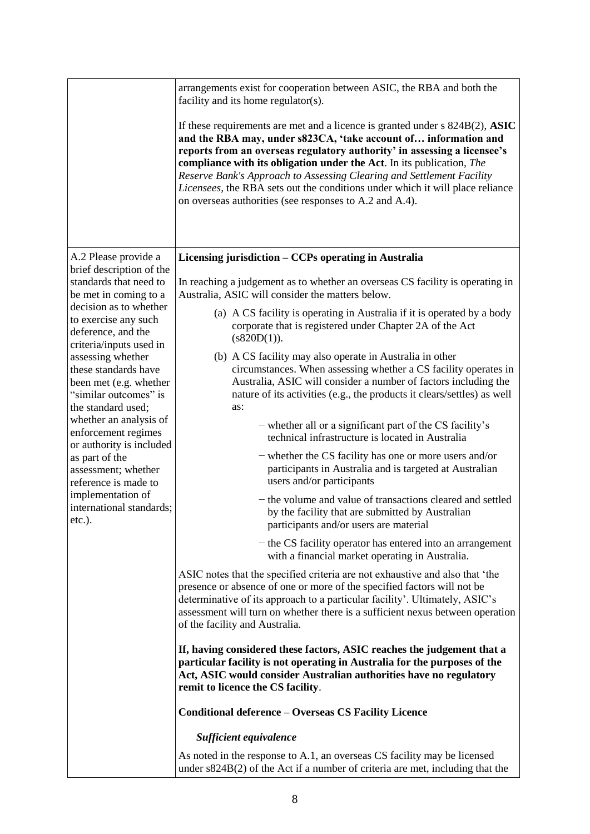|                                                                                                                                                                                                                       | arrangements exist for cooperation between ASIC, the RBA and both the<br>facility and its home regulator(s).                                                                                                                                                                                                                                                                                                                                                                                                                    |
|-----------------------------------------------------------------------------------------------------------------------------------------------------------------------------------------------------------------------|---------------------------------------------------------------------------------------------------------------------------------------------------------------------------------------------------------------------------------------------------------------------------------------------------------------------------------------------------------------------------------------------------------------------------------------------------------------------------------------------------------------------------------|
|                                                                                                                                                                                                                       | If these requirements are met and a licence is granted under $s$ 824B $(2)$ , ASIC<br>and the RBA may, under s823CA, 'take account of information and<br>reports from an overseas regulatory authority' in assessing a licensee's<br>compliance with its obligation under the Act. In its publication, The<br>Reserve Bank's Approach to Assessing Clearing and Settlement Facility<br>Licensees, the RBA sets out the conditions under which it will place reliance<br>on overseas authorities (see responses to A.2 and A.4). |
| A.2 Please provide a                                                                                                                                                                                                  | Licensing jurisdiction – CCPs operating in Australia                                                                                                                                                                                                                                                                                                                                                                                                                                                                            |
| brief description of the<br>standards that need to<br>be met in coming to a                                                                                                                                           | In reaching a judgement as to whether an overseas CS facility is operating in<br>Australia, ASIC will consider the matters below.                                                                                                                                                                                                                                                                                                                                                                                               |
| decision as to whether<br>to exercise any such<br>deference, and the<br>criteria/inputs used in<br>assessing whether<br>these standards have<br>been met (e.g. whether<br>"similar outcomes" is<br>the standard used; | (a) A CS facility is operating in Australia if it is operated by a body<br>corporate that is registered under Chapter 2A of the Act<br>(s820D(1)).                                                                                                                                                                                                                                                                                                                                                                              |
|                                                                                                                                                                                                                       | (b) A CS facility may also operate in Australia in other<br>circumstances. When assessing whether a CS facility operates in<br>Australia, ASIC will consider a number of factors including the<br>nature of its activities (e.g., the products it clears/settles) as well<br>as:                                                                                                                                                                                                                                                |
| whether an analysis of<br>enforcement regimes<br>or authority is included                                                                                                                                             | - whether all or a significant part of the CS facility's<br>technical infrastructure is located in Australia                                                                                                                                                                                                                                                                                                                                                                                                                    |
| as part of the<br>assessment; whether<br>reference is made to<br>implementation of<br>international standards;<br>etc.).                                                                                              | - whether the CS facility has one or more users and/or<br>participants in Australia and is targeted at Australian<br>users and/or participants                                                                                                                                                                                                                                                                                                                                                                                  |
|                                                                                                                                                                                                                       | - the volume and value of transactions cleared and settled<br>by the facility that are submitted by Australian<br>participants and/or users are material                                                                                                                                                                                                                                                                                                                                                                        |
|                                                                                                                                                                                                                       | - the CS facility operator has entered into an arrangement<br>with a financial market operating in Australia.                                                                                                                                                                                                                                                                                                                                                                                                                   |
|                                                                                                                                                                                                                       | ASIC notes that the specified criteria are not exhaustive and also that 'the<br>presence or absence of one or more of the specified factors will not be<br>determinative of its approach to a particular facility'. Ultimately, ASIC's<br>assessment will turn on whether there is a sufficient nexus between operation<br>of the facility and Australia.                                                                                                                                                                       |
|                                                                                                                                                                                                                       | If, having considered these factors, ASIC reaches the judgement that a<br>particular facility is not operating in Australia for the purposes of the<br>Act, ASIC would consider Australian authorities have no regulatory<br>remit to licence the CS facility.                                                                                                                                                                                                                                                                  |
|                                                                                                                                                                                                                       | <b>Conditional deference – Overseas CS Facility Licence</b>                                                                                                                                                                                                                                                                                                                                                                                                                                                                     |
|                                                                                                                                                                                                                       | Sufficient equivalence                                                                                                                                                                                                                                                                                                                                                                                                                                                                                                          |
|                                                                                                                                                                                                                       | As noted in the response to A.1, an overseas CS facility may be licensed<br>under $s824B(2)$ of the Act if a number of criteria are met, including that the                                                                                                                                                                                                                                                                                                                                                                     |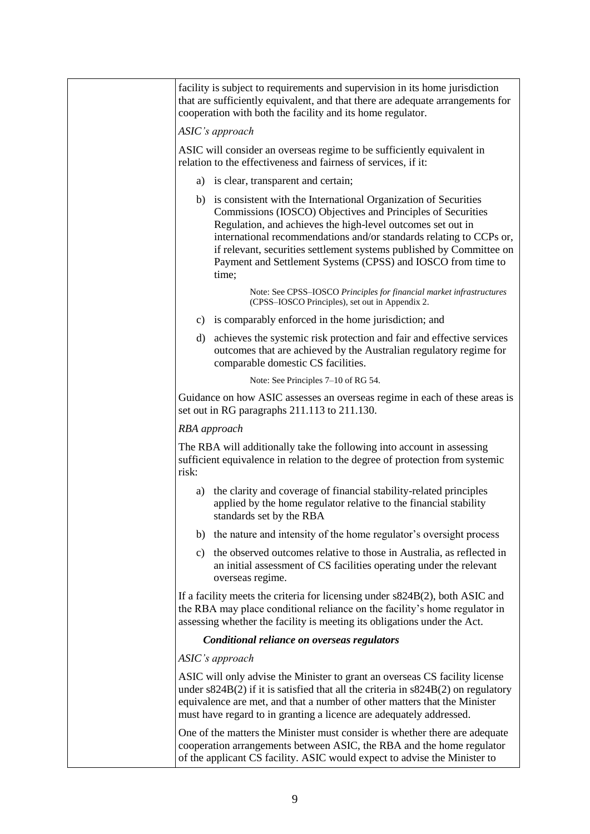|              | facility is subject to requirements and supervision in its home jurisdiction<br>that are sufficiently equivalent, and that there are adequate arrangements for<br>cooperation with both the facility and its home regulator.                                                                                                                                                                                             |
|--------------|--------------------------------------------------------------------------------------------------------------------------------------------------------------------------------------------------------------------------------------------------------------------------------------------------------------------------------------------------------------------------------------------------------------------------|
|              | ASIC's approach                                                                                                                                                                                                                                                                                                                                                                                                          |
|              | ASIC will consider an overseas regime to be sufficiently equivalent in<br>relation to the effectiveness and fairness of services, if it:                                                                                                                                                                                                                                                                                 |
|              | a) is clear, transparent and certain;                                                                                                                                                                                                                                                                                                                                                                                    |
|              | b) is consistent with the International Organization of Securities<br>Commissions (IOSCO) Objectives and Principles of Securities<br>Regulation, and achieves the high-level outcomes set out in<br>international recommendations and/or standards relating to CCPs or,<br>if relevant, securities settlement systems published by Committee on<br>Payment and Settlement Systems (CPSS) and IOSCO from time to<br>time; |
|              | Note: See CPSS-IOSCO Principles for financial market infrastructures<br>(CPSS-IOSCO Principles), set out in Appendix 2.                                                                                                                                                                                                                                                                                                  |
|              | c) is comparably enforced in the home jurisdiction; and                                                                                                                                                                                                                                                                                                                                                                  |
|              | d) achieves the systemic risk protection and fair and effective services<br>outcomes that are achieved by the Australian regulatory regime for<br>comparable domestic CS facilities.                                                                                                                                                                                                                                     |
|              | Note: See Principles 7–10 of RG 54.                                                                                                                                                                                                                                                                                                                                                                                      |
|              | Guidance on how ASIC assesses an overseas regime in each of these areas is<br>set out in RG paragraphs 211.113 to 211.130.                                                                                                                                                                                                                                                                                               |
| RBA approach |                                                                                                                                                                                                                                                                                                                                                                                                                          |
| risk:        | The RBA will additionally take the following into account in assessing<br>sufficient equivalence in relation to the degree of protection from systemic                                                                                                                                                                                                                                                                   |
|              | a) the clarity and coverage of financial stability-related principles<br>applied by the home regulator relative to the financial stability<br>standards set by the RBA                                                                                                                                                                                                                                                   |
|              | b) the nature and intensity of the home regulator's oversight process                                                                                                                                                                                                                                                                                                                                                    |
|              | c) the observed outcomes relative to those in Australia, as reflected in<br>an initial assessment of CS facilities operating under the relevant<br>overseas regime.                                                                                                                                                                                                                                                      |
|              | If a facility meets the criteria for licensing under s824B(2), both ASIC and<br>the RBA may place conditional reliance on the facility's home regulator in<br>assessing whether the facility is meeting its obligations under the Act.                                                                                                                                                                                   |
|              | Conditional reliance on overseas regulators                                                                                                                                                                                                                                                                                                                                                                              |
|              | ASIC's approach                                                                                                                                                                                                                                                                                                                                                                                                          |
|              | ASIC will only advise the Minister to grant an overseas CS facility license<br>under $s824B(2)$ if it is satisfied that all the criteria in $s824B(2)$ on regulatory<br>equivalence are met, and that a number of other matters that the Minister<br>must have regard to in granting a licence are adequately addressed.                                                                                                 |
|              | One of the matters the Minister must consider is whether there are adequate<br>cooperation arrangements between ASIC, the RBA and the home regulator<br>of the applicant CS facility. ASIC would expect to advise the Minister to                                                                                                                                                                                        |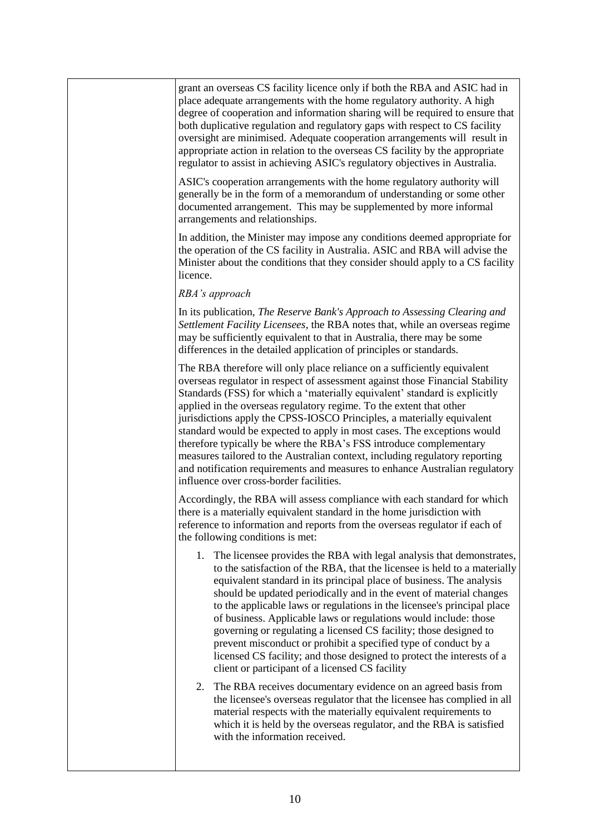grant an overseas CS facility licence only if both the RBA and ASIC had in place adequate arrangements with the home regulatory authority. A high degree of cooperation and information sharing will be required to ensure that both duplicative regulation and regulatory gaps with respect to CS facility oversight are minimised. Adequate cooperation arrangements will result in appropriate action in relation to the overseas CS facility by the appropriate regulator to assist in achieving ASIC's regulatory objectives in Australia. ASIC's cooperation arrangements with the home regulatory authority will generally be in the form of a memorandum of understanding or some other documented arrangement. This may be supplemented by more informal arrangements and relationships. In addition, the Minister may impose any conditions deemed appropriate for the operation of the CS facility in Australia. ASIC and RBA will advise the Minister about the conditions that they consider should apply to a CS facility licence. *RBA's approach* In its publication, *The Reserve Bank's Approach to Assessing Clearing and Settlement Facility Licensees*, the RBA notes that, while an overseas regime may be sufficiently equivalent to that in Australia, there may be some differences in the detailed application of principles or standards. The RBA therefore will only place reliance on a sufficiently equivalent overseas regulator in respect of assessment against those Financial Stability Standards (FSS) for which a 'materially equivalent' standard is explicitly applied in the overseas regulatory regime. To the extent that other jurisdictions apply the CPSS-IOSCO Principles, a materially equivalent standard would be expected to apply in most cases. The exceptions would therefore typically be where the RBA's FSS introduce complementary measures tailored to the Australian context, including regulatory reporting and notification requirements and measures to enhance Australian regulatory influence over cross-border facilities. Accordingly, the RBA will assess compliance with each standard for which there is a materially equivalent standard in the home jurisdiction with reference to information and reports from the overseas regulator if each of the following conditions is met: 1. The licensee provides the RBA with legal analysis that demonstrates, to the satisfaction of the RBA, that the licensee is held to a materially equivalent standard in its principal place of business. The analysis should be updated periodically and in the event of material changes to the applicable laws or regulations in the licensee's principal place of business. Applicable laws or regulations would include: those governing or regulating a licensed CS facility; those designed to prevent misconduct or prohibit a specified type of conduct by a licensed CS facility; and those designed to protect the interests of a client or participant of a licensed CS facility 2. The RBA receives documentary evidence on an agreed basis from the licensee's overseas regulator that the licensee has complied in all material respects with the materially equivalent requirements to which it is held by the overseas regulator, and the RBA is satisfied with the information received.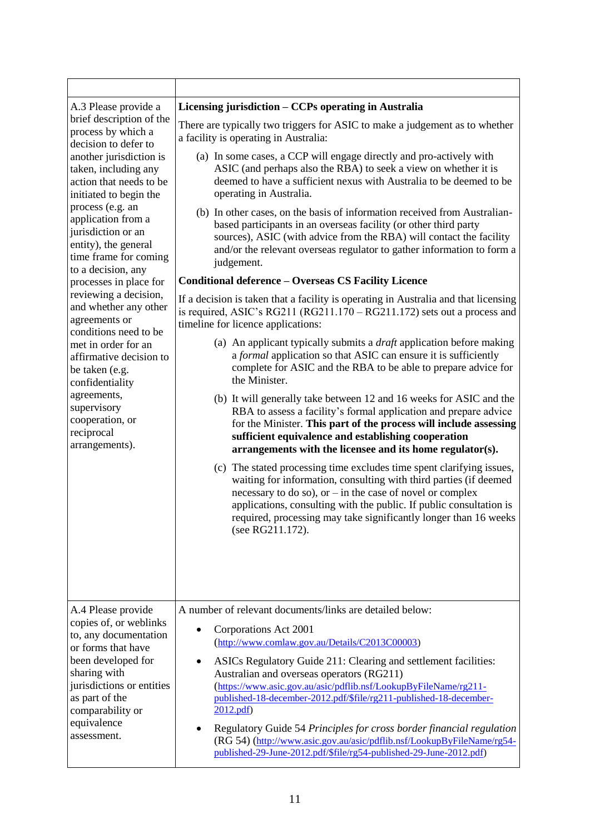| A.3 Please provide a<br>brief description of the<br>process by which a<br>decision to defer to<br>another jurisdiction is<br>taken, including any<br>action that needs to be<br>initiated to begin the<br>process (e.g. an<br>application from a<br>jurisdiction or an<br>entity), the general<br>time frame for coming<br>to a decision, any<br>processes in place for<br>reviewing a decision,<br>and whether any other<br>agreements or<br>conditions need to be<br>met in order for an<br>affirmative decision to<br>be taken (e.g.<br>confidentiality<br>agreements,<br>supervisory<br>cooperation, or<br>reciprocal<br>arrangements).<br>A.4 Please provide | Licensing jurisdiction – CCPs operating in Australia<br>There are typically two triggers for ASIC to make a judgement as to whether<br>a facility is operating in Australia:<br>(a) In some cases, a CCP will engage directly and pro-actively with<br>ASIC (and perhaps also the RBA) to seek a view on whether it is<br>deemed to have a sufficient nexus with Australia to be deemed to be<br>operating in Australia.<br>(b) In other cases, on the basis of information received from Australian-<br>based participants in an overseas facility (or other third party<br>sources), ASIC (with advice from the RBA) will contact the facility<br>and/or the relevant overseas regulator to gather information to form a<br>judgement.<br><b>Conditional deference - Overseas CS Facility Licence</b><br>If a decision is taken that a facility is operating in Australia and that licensing<br>is required, ASIC's RG211 (RG211.170 – RG211.172) sets out a process and<br>timeline for licence applications:<br>(a) An applicant typically submits a <i>draft</i> application before making<br>a formal application so that ASIC can ensure it is sufficiently<br>complete for ASIC and the RBA to be able to prepare advice for<br>the Minister.<br>(b) It will generally take between 12 and 16 weeks for ASIC and the<br>RBA to assess a facility's formal application and prepare advice<br>for the Minister. This part of the process will include assessing<br>sufficient equivalence and establishing cooperation<br>arrangements with the licensee and its home regulator(s).<br>(c) The stated processing time excludes time spent clarifying issues,<br>waiting for information, consulting with third parties (if deemed<br>necessary to do so), or $-$ in the case of novel or complex<br>applications, consulting with the public. If public consultation is<br>required, processing may take significantly longer than 16 weeks<br>(see RG211.172).<br>A number of relevant documents/links are detailed below: |
|-------------------------------------------------------------------------------------------------------------------------------------------------------------------------------------------------------------------------------------------------------------------------------------------------------------------------------------------------------------------------------------------------------------------------------------------------------------------------------------------------------------------------------------------------------------------------------------------------------------------------------------------------------------------|-----------------------------------------------------------------------------------------------------------------------------------------------------------------------------------------------------------------------------------------------------------------------------------------------------------------------------------------------------------------------------------------------------------------------------------------------------------------------------------------------------------------------------------------------------------------------------------------------------------------------------------------------------------------------------------------------------------------------------------------------------------------------------------------------------------------------------------------------------------------------------------------------------------------------------------------------------------------------------------------------------------------------------------------------------------------------------------------------------------------------------------------------------------------------------------------------------------------------------------------------------------------------------------------------------------------------------------------------------------------------------------------------------------------------------------------------------------------------------------------------------------------------------------------------------------------------------------------------------------------------------------------------------------------------------------------------------------------------------------------------------------------------------------------------------------------------------------------------------------------------------------------------------------------------------------------------------------------------------------------------------------------------------------|
| copies of, or weblinks<br>to, any documentation<br>or forms that have<br>been developed for<br>sharing with<br>jurisdictions or entities<br>as part of the<br>comparability or<br>equivalence<br>assessment.                                                                                                                                                                                                                                                                                                                                                                                                                                                      | Corporations Act 2001<br>(http://www.comlaw.gov.au/Details/C2013C00003)<br>ASICs Regulatory Guide 211: Clearing and settlement facilities:<br>Australian and overseas operators (RG211)<br>(https://www.asic.gov.au/asic/pdflib.nsf/LookupByFileName/rg211-<br>published-18-december-2012.pdf/\$file/rg211-published-18-december-<br>2012.pdf<br>Regulatory Guide 54 Principles for cross border financial regulation<br>(RG 54) (http://www.asic.gov.au/asic/pdflib.nsf/LookupByFileName/rg54-<br>published-29-June-2012.pdf/\$file/rg54-published-29-June-2012.pdf)                                                                                                                                                                                                                                                                                                                                                                                                                                                                                                                                                                                                                                                                                                                                                                                                                                                                                                                                                                                                                                                                                                                                                                                                                                                                                                                                                                                                                                                             |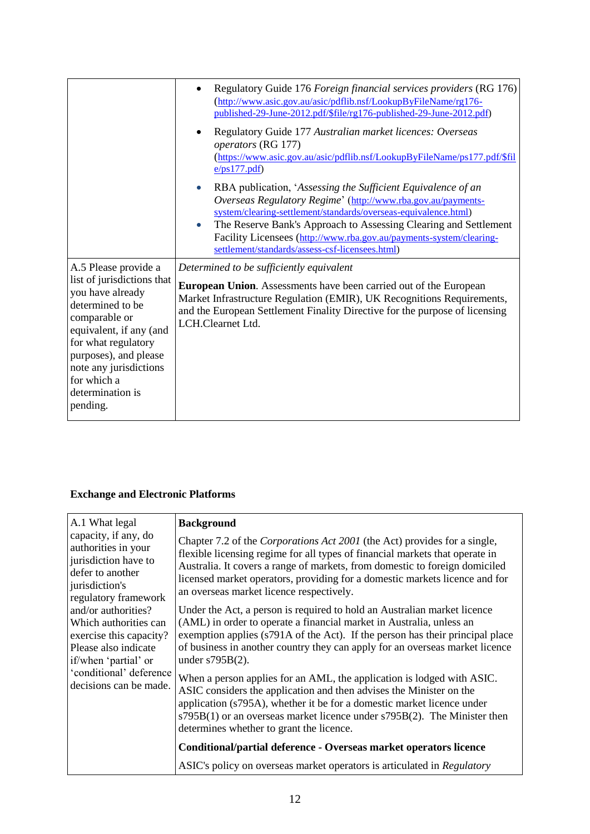|                                                                                                                                                                                                                                                                 | Regulatory Guide 176 Foreign financial services providers (RG 176)<br>(http://www.asic.gov.au/asic/pdflib.nsf/LookupByFileName/rg176-<br>published-29-June-2012.pdf/\$file/rg176-published-29-June-2012.pdf)<br>Regulatory Guide 177 Australian market licences: Overseas<br>operators (RG 177)<br>(https://www.asic.gov.au/asic/pdflib.nsf/LookupByFileName/ps177.pdf/\$fil<br>e/ps177.pdf                |
|-----------------------------------------------------------------------------------------------------------------------------------------------------------------------------------------------------------------------------------------------------------------|------------------------------------------------------------------------------------------------------------------------------------------------------------------------------------------------------------------------------------------------------------------------------------------------------------------------------------------------------------------------------------------------------------|
|                                                                                                                                                                                                                                                                 | RBA publication, 'Assessing the Sufficient Equivalence of an<br>Overseas Regulatory Regime' (http://www.rba.gov.au/payments-<br>system/clearing-settlement/standards/overseas-equivalence.html)<br>The Reserve Bank's Approach to Assessing Clearing and Settlement<br>$\bullet$<br>Facility Licensees (http://www.rba.gov.au/payments-system/clearing-<br>settlement/standards/assess-csf-licensees.html) |
| A.5 Please provide a<br>list of jurisdictions that<br>you have already<br>determined to be<br>comparable or<br>equivalent, if any (and<br>for what regulatory<br>purposes), and please<br>note any jurisdictions<br>for which a<br>determination is<br>pending. | Determined to be sufficiently equivalent<br><b>European Union.</b> Assessments have been carried out of the European<br>Market Infrastructure Regulation (EMIR), UK Recognitions Requirements,<br>and the European Settlement Finality Directive for the purpose of licensing<br>LCH.Clearnet Ltd.                                                                                                         |

# **Exchange and Electronic Platforms**

| A.1 What legal                                                                                                                                                                                                                                                                                                    | <b>Background</b>                                                                                                                                                                                                                                                                                                                                                   |
|-------------------------------------------------------------------------------------------------------------------------------------------------------------------------------------------------------------------------------------------------------------------------------------------------------------------|---------------------------------------------------------------------------------------------------------------------------------------------------------------------------------------------------------------------------------------------------------------------------------------------------------------------------------------------------------------------|
| capacity, if any, do<br>authorities in your<br>jurisdiction have to<br>defer to another<br>jurisdiction's<br>regulatory framework<br>and/or authorities?<br>Which authorities can<br>exercise this capacity?<br>Please also indicate<br>if/when 'partial' or<br>'conditional' deference<br>decisions can be made. | Chapter 7.2 of the Corporations Act 2001 (the Act) provides for a single,<br>flexible licensing regime for all types of financial markets that operate in<br>Australia. It covers a range of markets, from domestic to foreign domiciled<br>licensed market operators, providing for a domestic markets licence and for<br>an overseas market licence respectively. |
|                                                                                                                                                                                                                                                                                                                   | Under the Act, a person is required to hold an Australian market licence<br>(AML) in order to operate a financial market in Australia, unless an<br>exemption applies (s791A of the Act). If the person has their principal place<br>of business in another country they can apply for an overseas market licence<br>under $s795B(2)$ .                             |
|                                                                                                                                                                                                                                                                                                                   | When a person applies for an AML, the application is lodged with ASIC.<br>ASIC considers the application and then advises the Minister on the<br>application (s795A), whether it be for a domestic market licence under<br>$s795B(1)$ or an overseas market licence under $s795B(2)$ . The Minister then<br>determines whether to grant the licence.                |
|                                                                                                                                                                                                                                                                                                                   | Conditional/partial deference - Overseas market operators licence                                                                                                                                                                                                                                                                                                   |
|                                                                                                                                                                                                                                                                                                                   | ASIC's policy on overseas market operators is articulated in Regulatory                                                                                                                                                                                                                                                                                             |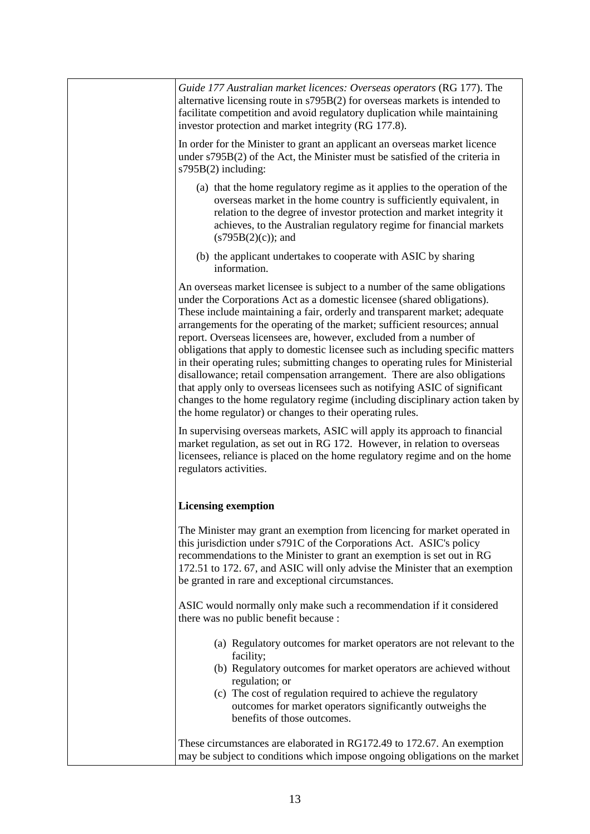*Guide 177 Australian market licences: Overseas operators* (RG 177). The alternative licensing route in s795B(2) for overseas markets is intended to facilitate competition and avoid regulatory duplication while maintaining investor protection and market integrity (RG 177.8). In order for the Minister to grant an applicant an overseas market licence under s795B(2) of the Act, the Minister must be satisfied of the criteria in s795B(2) including: (a) that the home regulatory regime as it applies to the operation of the overseas market in the home country is sufficiently equivalent, in relation to the degree of investor protection and market integrity it achieves, to the Australian regulatory regime for financial markets  $(s795B(2)(c))$ ; and (b) the applicant undertakes to cooperate with ASIC by sharing information. An overseas market licensee is subject to a number of the same obligations under the Corporations Act as a domestic licensee (shared obligations). These include maintaining a fair, orderly and transparent market; adequate arrangements for the operating of the market; sufficient resources; annual report. Overseas licensees are, however, excluded from a number of obligations that apply to domestic licensee such as including specific matters in their operating rules; submitting changes to operating rules for Ministerial disallowance; retail compensation arrangement. There are also obligations that apply only to overseas licensees such as notifying ASIC of significant changes to the home regulatory regime (including disciplinary action taken by the home regulator) or changes to their operating rules. In supervising overseas markets, ASIC will apply its approach to financial market regulation, as set out in RG 172. However, in relation to overseas licensees, reliance is placed on the home regulatory regime and on the home regulators activities. **Licensing exemption**  The Minister may grant an exemption from licencing for market operated in this jurisdiction under s791C of the Corporations Act. ASIC's policy recommendations to the Minister to grant an exemption is set out in RG 172.51 to 172. 67, and ASIC will only advise the Minister that an exemption be granted in rare and exceptional circumstances. ASIC would normally only make such a recommendation if it considered there was no public benefit because : (a) Regulatory outcomes for market operators are not relevant to the facility; (b) Regulatory outcomes for market operators are achieved without regulation; or (c) The cost of regulation required to achieve the regulatory outcomes for market operators significantly outweighs the benefits of those outcomes. These circumstances are elaborated in RG172.49 to 172.67. An exemption may be subject to conditions which impose ongoing obligations on the market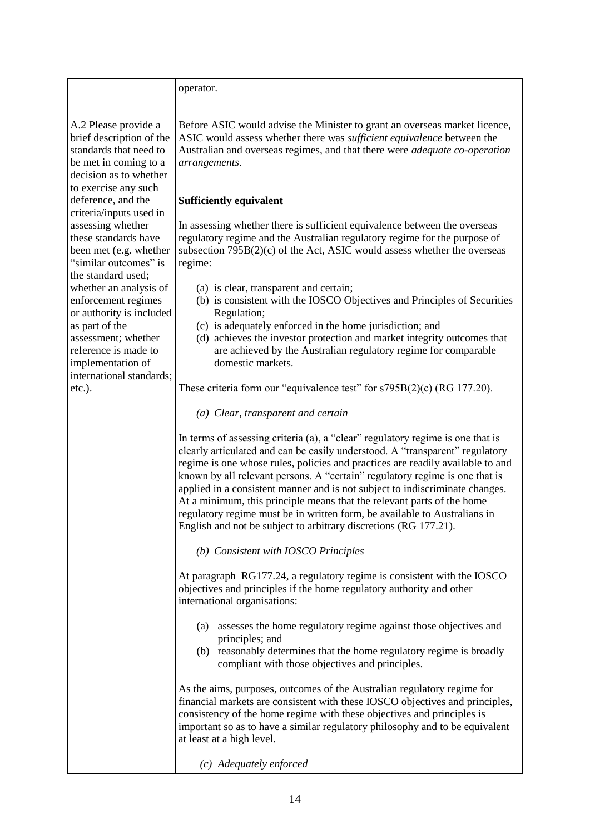|                                                                                                                                                                                                                   | operator.                                                                                                                                                                                                                                                                                                                                                                                                                                                                                                                                                                                                                                  |
|-------------------------------------------------------------------------------------------------------------------------------------------------------------------------------------------------------------------|--------------------------------------------------------------------------------------------------------------------------------------------------------------------------------------------------------------------------------------------------------------------------------------------------------------------------------------------------------------------------------------------------------------------------------------------------------------------------------------------------------------------------------------------------------------------------------------------------------------------------------------------|
| A.2 Please provide a<br>brief description of the<br>standards that need to<br>be met in coming to a<br>decision as to whether<br>to exercise any such                                                             | Before ASIC would advise the Minister to grant an overseas market licence,<br>ASIC would assess whether there was <i>sufficient equivalence</i> between the<br>Australian and overseas regimes, and that there were <i>adequate co-operation</i><br>arrangements.                                                                                                                                                                                                                                                                                                                                                                          |
| deference, and the<br>criteria/inputs used in<br>assessing whether<br>these standards have<br>been met (e.g. whether<br>"similar outcomes" is                                                                     | <b>Sufficiently equivalent</b><br>In assessing whether there is sufficient equivalence between the overseas<br>regulatory regime and the Australian regulatory regime for the purpose of<br>subsection $795B(2)(c)$ of the Act, ASIC would assess whether the overseas<br>regime:                                                                                                                                                                                                                                                                                                                                                          |
| the standard used;<br>whether an analysis of<br>enforcement regimes<br>or authority is included<br>as part of the<br>assessment; whether<br>reference is made to<br>implementation of<br>international standards; | (a) is clear, transparent and certain;<br>(b) is consistent with the IOSCO Objectives and Principles of Securities<br>Regulation;<br>(c) is adequately enforced in the home jurisdiction; and<br>(d) achieves the investor protection and market integrity outcomes that<br>are achieved by the Australian regulatory regime for comparable<br>domestic markets.                                                                                                                                                                                                                                                                           |
| etc.).                                                                                                                                                                                                            | These criteria form our "equivalence test" for $s795B(2)(c)$ (RG 177.20).                                                                                                                                                                                                                                                                                                                                                                                                                                                                                                                                                                  |
|                                                                                                                                                                                                                   | (a) Clear, transparent and certain                                                                                                                                                                                                                                                                                                                                                                                                                                                                                                                                                                                                         |
|                                                                                                                                                                                                                   | In terms of assessing criteria (a), a "clear" regulatory regime is one that is<br>clearly articulated and can be easily understood. A "transparent" regulatory<br>regime is one whose rules, policies and practices are readily available to and<br>known by all relevant persons. A "certain" regulatory regime is one that is<br>applied in a consistent manner and is not subject to indiscriminate changes.<br>At a minimum, this principle means that the relevant parts of the home<br>regulatory regime must be in written form, be available to Australians in<br>English and not be subject to arbitrary discretions (RG 177.21). |
|                                                                                                                                                                                                                   | (b) Consistent with IOSCO Principles                                                                                                                                                                                                                                                                                                                                                                                                                                                                                                                                                                                                       |
|                                                                                                                                                                                                                   | At paragraph RG177.24, a regulatory regime is consistent with the IOSCO<br>objectives and principles if the home regulatory authority and other<br>international organisations:                                                                                                                                                                                                                                                                                                                                                                                                                                                            |
|                                                                                                                                                                                                                   | (a) assesses the home regulatory regime against those objectives and<br>principles; and<br>(b) reasonably determines that the home regulatory regime is broadly<br>compliant with those objectives and principles.                                                                                                                                                                                                                                                                                                                                                                                                                         |
|                                                                                                                                                                                                                   | As the aims, purposes, outcomes of the Australian regulatory regime for<br>financial markets are consistent with these IOSCO objectives and principles,<br>consistency of the home regime with these objectives and principles is<br>important so as to have a similar regulatory philosophy and to be equivalent<br>at least at a high level.                                                                                                                                                                                                                                                                                             |
|                                                                                                                                                                                                                   | (c) Adequately enforced                                                                                                                                                                                                                                                                                                                                                                                                                                                                                                                                                                                                                    |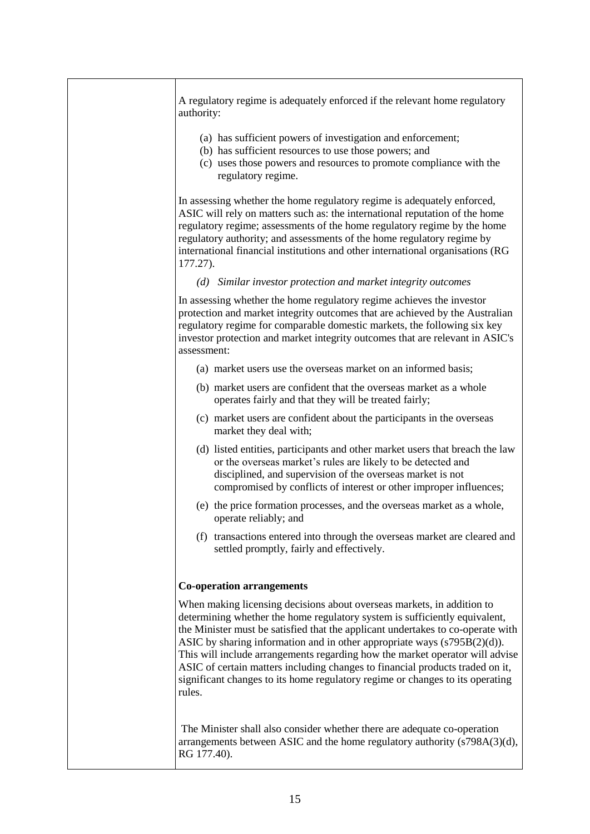A regulatory regime is adequately enforced if the relevant home regulatory authority: (a) has sufficient powers of investigation and enforcement; (b) has sufficient resources to use those powers; and (c) uses those powers and resources to promote compliance with the regulatory regime. In assessing whether the home regulatory regime is adequately enforced, ASIC will rely on matters such as: the international reputation of the home regulatory regime; assessments of the home regulatory regime by the home regulatory authority; and assessments of the home regulatory regime by international financial institutions and other international organisations (RG 177.27). *(d) Similar investor protection and market integrity outcomes* In assessing whether the home regulatory regime achieves the investor protection and market integrity outcomes that are achieved by the Australian regulatory regime for comparable domestic markets, the following six key investor protection and market integrity outcomes that are relevant in ASIC's assessment: (a) market users use the overseas market on an informed basis; (b) market users are confident that the overseas market as a whole operates fairly and that they will be treated fairly; (c) market users are confident about the participants in the overseas market they deal with; (d) listed entities, participants and other market users that breach the law or the overseas market's rules are likely to be detected and disciplined, and supervision of the overseas market is not compromised by conflicts of interest or other improper influences; (e) the price formation processes, and the overseas market as a whole, operate reliably; and (f) transactions entered into through the overseas market are cleared and settled promptly, fairly and effectively. **Co-operation arrangements** When making licensing decisions about overseas markets, in addition to determining whether the home regulatory system is sufficiently equivalent, the Minister must be satisfied that the applicant undertakes to co-operate with ASIC by sharing information and in other appropriate ways (s795B(2)(d)). This will include arrangements regarding how the market operator will advise ASIC of certain matters including changes to financial products traded on it, significant changes to its home regulatory regime or changes to its operating rules. The Minister shall also consider whether there are adequate co-operation arrangements between ASIC and the home regulatory authority  $(s798A(3)(d))$ , RG 177.40).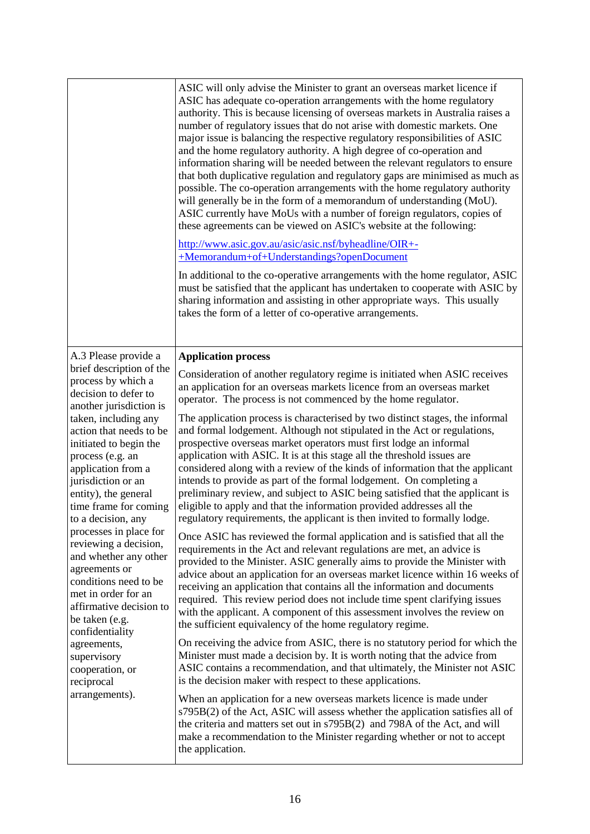|                                                                                                                                                                                                                                                                                                                                                                                                                                                                                                                                                                                                                     | ASIC will only advise the Minister to grant an overseas market licence if<br>ASIC has adequate co-operation arrangements with the home regulatory<br>authority. This is because licensing of overseas markets in Australia raises a<br>number of regulatory issues that do not arise with domestic markets. One<br>major issue is balancing the respective regulatory responsibilities of ASIC<br>and the home regulatory authority. A high degree of co-operation and<br>information sharing will be needed between the relevant regulators to ensure<br>that both duplicative regulation and regulatory gaps are minimised as much as<br>possible. The co-operation arrangements with the home regulatory authority<br>will generally be in the form of a memorandum of understanding (MoU).<br>ASIC currently have MoUs with a number of foreign regulators, copies of<br>these agreements can be viewed on ASIC's website at the following:<br>http://www.asic.gov.au/asic/asic.nsf/byheadline/OIR+-<br>+Memorandum+of+Understandings?openDocument<br>In additional to the co-operative arrangements with the home regulator, ASIC<br>must be satisfied that the applicant has undertaken to cooperate with ASIC by<br>sharing information and assisting in other appropriate ways. This usually<br>takes the form of a letter of co-operative arrangements. |
|---------------------------------------------------------------------------------------------------------------------------------------------------------------------------------------------------------------------------------------------------------------------------------------------------------------------------------------------------------------------------------------------------------------------------------------------------------------------------------------------------------------------------------------------------------------------------------------------------------------------|------------------------------------------------------------------------------------------------------------------------------------------------------------------------------------------------------------------------------------------------------------------------------------------------------------------------------------------------------------------------------------------------------------------------------------------------------------------------------------------------------------------------------------------------------------------------------------------------------------------------------------------------------------------------------------------------------------------------------------------------------------------------------------------------------------------------------------------------------------------------------------------------------------------------------------------------------------------------------------------------------------------------------------------------------------------------------------------------------------------------------------------------------------------------------------------------------------------------------------------------------------------------------------------------------------------------------------------------------------------|
| A.3 Please provide a                                                                                                                                                                                                                                                                                                                                                                                                                                                                                                                                                                                                | <b>Application process</b>                                                                                                                                                                                                                                                                                                                                                                                                                                                                                                                                                                                                                                                                                                                                                                                                                                                                                                                                                                                                                                                                                                                                                                                                                                                                                                                                       |
| brief description of the<br>process by which a<br>decision to defer to<br>another jurisdiction is<br>taken, including any<br>action that needs to be<br>initiated to begin the<br>process (e.g. an<br>application from a<br>jurisdiction or an<br>entity), the general<br>time frame for coming<br>to a decision, any<br>processes in place for<br>reviewing a decision,<br>and whether any other<br>agreements or<br>conditions need to be<br>met in order for an<br>affirmative decision to<br>be taken (e.g.<br>confidentiality<br>agreements,<br>supervisory<br>cooperation, or<br>reciprocal<br>arrangements). | Consideration of another regulatory regime is initiated when ASIC receives<br>an application for an overseas markets licence from an overseas market<br>operator. The process is not commenced by the home regulator.                                                                                                                                                                                                                                                                                                                                                                                                                                                                                                                                                                                                                                                                                                                                                                                                                                                                                                                                                                                                                                                                                                                                            |
|                                                                                                                                                                                                                                                                                                                                                                                                                                                                                                                                                                                                                     | The application process is characterised by two distinct stages, the informal<br>and formal lodgement. Although not stipulated in the Act or regulations,<br>prospective overseas market operators must first lodge an informal<br>application with ASIC. It is at this stage all the threshold issues are<br>considered along with a review of the kinds of information that the applicant<br>intends to provide as part of the formal lodgement. On completing a<br>preliminary review, and subject to ASIC being satisfied that the applicant is<br>eligible to apply and that the information provided addresses all the<br>regulatory requirements, the applicant is then invited to formally lodge.                                                                                                                                                                                                                                                                                                                                                                                                                                                                                                                                                                                                                                                        |
|                                                                                                                                                                                                                                                                                                                                                                                                                                                                                                                                                                                                                     | Once ASIC has reviewed the formal application and is satisfied that all the<br>requirements in the Act and relevant regulations are met, an advice is<br>provided to the Minister. ASIC generally aims to provide the Minister with<br>advice about an application for an overseas market licence within 16 weeks of<br>receiving an application that contains all the information and documents<br>required. This review period does not include time spent clarifying issues<br>with the applicant. A component of this assessment involves the review on<br>the sufficient equivalency of the home regulatory regime.                                                                                                                                                                                                                                                                                                                                                                                                                                                                                                                                                                                                                                                                                                                                         |
|                                                                                                                                                                                                                                                                                                                                                                                                                                                                                                                                                                                                                     | On receiving the advice from ASIC, there is no statutory period for which the<br>Minister must made a decision by. It is worth noting that the advice from<br>ASIC contains a recommendation, and that ultimately, the Minister not ASIC<br>is the decision maker with respect to these applications.                                                                                                                                                                                                                                                                                                                                                                                                                                                                                                                                                                                                                                                                                                                                                                                                                                                                                                                                                                                                                                                            |
|                                                                                                                                                                                                                                                                                                                                                                                                                                                                                                                                                                                                                     | When an application for a new overseas markets licence is made under<br>s795B(2) of the Act, ASIC will assess whether the application satisfies all of<br>the criteria and matters set out in s795B(2) and 798A of the Act, and will<br>make a recommendation to the Minister regarding whether or not to accept<br>the application.                                                                                                                                                                                                                                                                                                                                                                                                                                                                                                                                                                                                                                                                                                                                                                                                                                                                                                                                                                                                                             |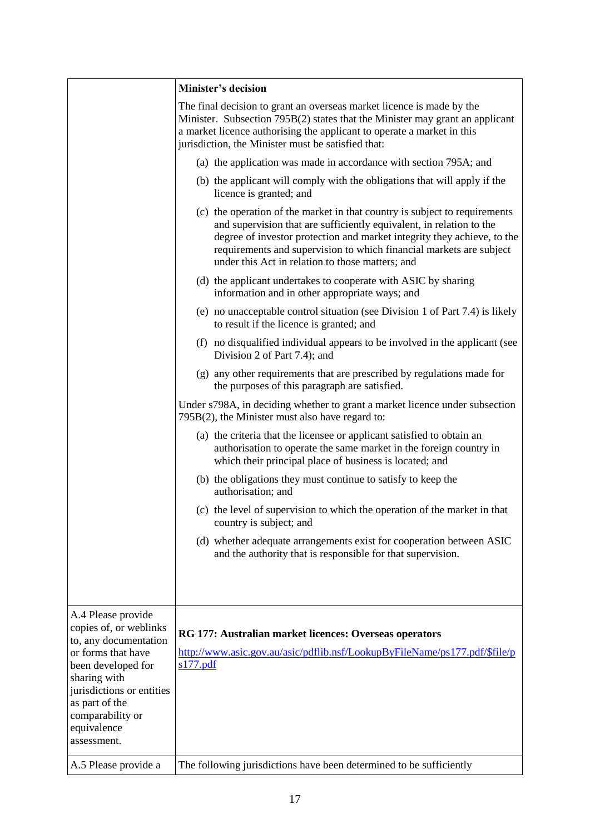|                                                                                                                                                           | <b>Minister's decision</b>                                                                                                                                                                                                                                                                                                                               |
|-----------------------------------------------------------------------------------------------------------------------------------------------------------|----------------------------------------------------------------------------------------------------------------------------------------------------------------------------------------------------------------------------------------------------------------------------------------------------------------------------------------------------------|
|                                                                                                                                                           | The final decision to grant an overseas market licence is made by the<br>Minister. Subsection 795B(2) states that the Minister may grant an applicant<br>a market licence authorising the applicant to operate a market in this<br>jurisdiction, the Minister must be satisfied that:                                                                    |
|                                                                                                                                                           | (a) the application was made in accordance with section 795A; and                                                                                                                                                                                                                                                                                        |
|                                                                                                                                                           | (b) the applicant will comply with the obligations that will apply if the<br>licence is granted; and                                                                                                                                                                                                                                                     |
|                                                                                                                                                           | (c) the operation of the market in that country is subject to requirements<br>and supervision that are sufficiently equivalent, in relation to the<br>degree of investor protection and market integrity they achieve, to the<br>requirements and supervision to which financial markets are subject<br>under this Act in relation to those matters; and |
|                                                                                                                                                           | (d) the applicant undertakes to cooperate with ASIC by sharing<br>information and in other appropriate ways; and                                                                                                                                                                                                                                         |
|                                                                                                                                                           | (e) no unacceptable control situation (see Division 1 of Part 7.4) is likely<br>to result if the licence is granted; and                                                                                                                                                                                                                                 |
|                                                                                                                                                           | (f) no disqualified individual appears to be involved in the applicant (see<br>Division 2 of Part 7.4); and                                                                                                                                                                                                                                              |
|                                                                                                                                                           | (g) any other requirements that are prescribed by regulations made for<br>the purposes of this paragraph are satisfied.                                                                                                                                                                                                                                  |
|                                                                                                                                                           | Under s798A, in deciding whether to grant a market licence under subsection<br>795B(2), the Minister must also have regard to:                                                                                                                                                                                                                           |
|                                                                                                                                                           | (a) the criteria that the licensee or applicant satisfied to obtain an<br>authorisation to operate the same market in the foreign country in<br>which their principal place of business is located; and                                                                                                                                                  |
|                                                                                                                                                           | (b) the obligations they must continue to satisfy to keep the<br>authorisation; and                                                                                                                                                                                                                                                                      |
|                                                                                                                                                           | (c) the level of supervision to which the operation of the market in that<br>country is subject; and                                                                                                                                                                                                                                                     |
|                                                                                                                                                           | (d) whether adequate arrangements exist for cooperation between ASIC<br>and the authority that is responsible for that supervision.                                                                                                                                                                                                                      |
|                                                                                                                                                           |                                                                                                                                                                                                                                                                                                                                                          |
| A.4 Please provide<br>copies of, or weblinks<br>to, any documentation                                                                                     | RG 177: Australian market licences: Overseas operators                                                                                                                                                                                                                                                                                                   |
| or forms that have<br>been developed for<br>sharing with<br>jurisdictions or entities<br>as part of the<br>comparability or<br>equivalence<br>assessment. | http://www.asic.gov.au/asic/pdflib.nsf/LookupByFileName/ps177.pdf/\$file/p<br>s177.pdf                                                                                                                                                                                                                                                                   |
| A.5 Please provide a                                                                                                                                      | The following jurisdictions have been determined to be sufficiently                                                                                                                                                                                                                                                                                      |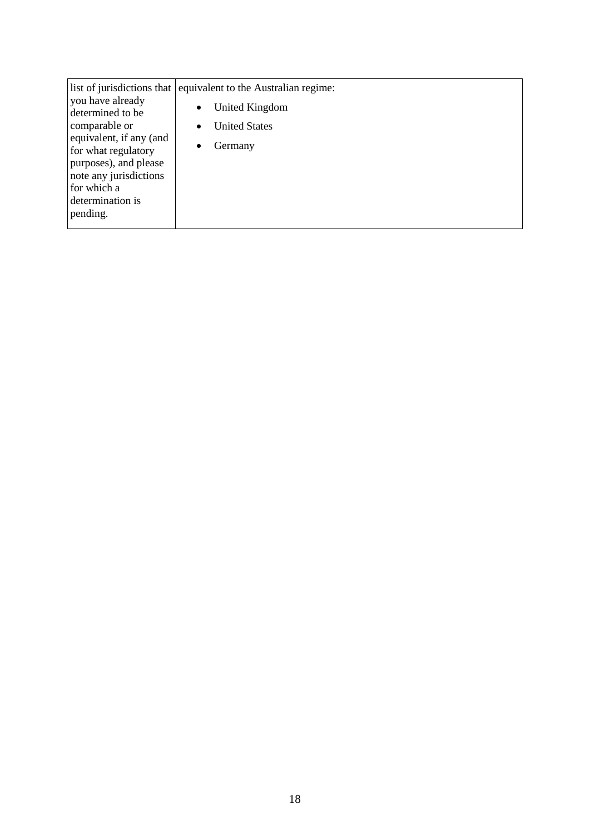| you have already<br>determined to be<br>comparable or<br>equivalent, if any (and<br>for what regulatory<br>purposes), and please | list of jurisdictions that equivalent to the Australian regime:<br>United Kingdom<br>$\bullet$<br><b>United States</b><br>$\bullet$<br>Germany |
|----------------------------------------------------------------------------------------------------------------------------------|------------------------------------------------------------------------------------------------------------------------------------------------|
|                                                                                                                                  |                                                                                                                                                |
| note any jurisdictions                                                                                                           |                                                                                                                                                |
| for which a                                                                                                                      |                                                                                                                                                |
| determination is<br>pending.                                                                                                     |                                                                                                                                                |
|                                                                                                                                  |                                                                                                                                                |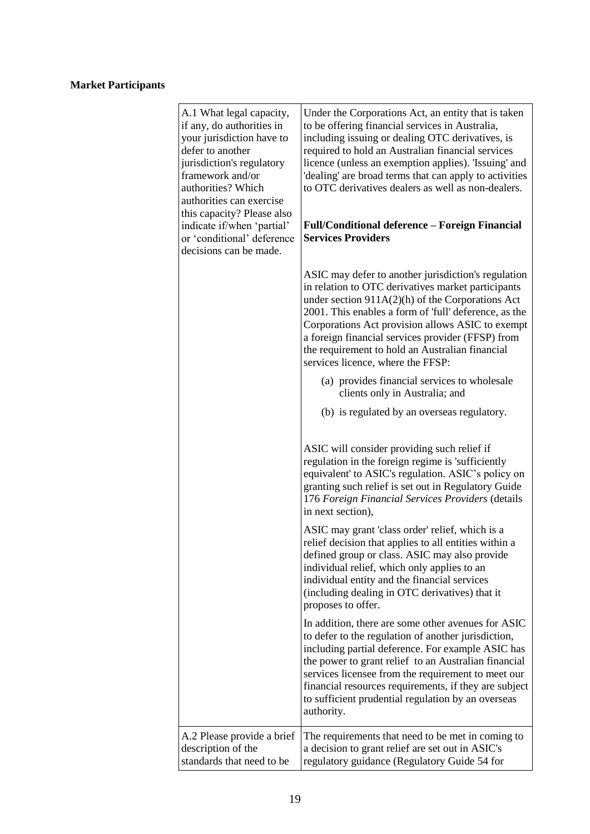# **Market Participants**

| A.1 What legal capacity,<br>if any, do authorities in<br>your jurisdiction have to<br>defer to another<br>jurisdiction's regulatory<br>framework and/or<br>authorities? Which<br>authorities can exercise<br>this capacity? Please also<br>indicate if/when 'partial'<br>or 'conditional' deference<br>decisions can be made. | Under the Corporations Act, an entity that is taken<br>to be offering financial services in Australia,<br>including issuing or dealing OTC derivatives, is<br>required to hold an Australian financial services<br>licence (unless an exemption applies). 'Issuing' and<br>'dealing' are broad terms that can apply to activities<br>to OTC derivatives dealers as well as non-dealers.<br><b>Full/Conditional deference - Foreign Financial</b><br><b>Services Providers</b> |
|-------------------------------------------------------------------------------------------------------------------------------------------------------------------------------------------------------------------------------------------------------------------------------------------------------------------------------|-------------------------------------------------------------------------------------------------------------------------------------------------------------------------------------------------------------------------------------------------------------------------------------------------------------------------------------------------------------------------------------------------------------------------------------------------------------------------------|
|                                                                                                                                                                                                                                                                                                                               | ASIC may defer to another jurisdiction's regulation<br>in relation to OTC derivatives market participants<br>under section 911A(2)(h) of the Corporations Act<br>2001. This enables a form of 'full' deference, as the<br>Corporations Act provision allows ASIC to exempt<br>a foreign financial services provider (FFSP) from<br>the requirement to hold an Australian financial<br>services licence, where the FFSP:                                                       |
|                                                                                                                                                                                                                                                                                                                               | (a) provides financial services to wholesale<br>clients only in Australia; and                                                                                                                                                                                                                                                                                                                                                                                                |
|                                                                                                                                                                                                                                                                                                                               | (b) is regulated by an overseas regulatory.                                                                                                                                                                                                                                                                                                                                                                                                                                   |
|                                                                                                                                                                                                                                                                                                                               | ASIC will consider providing such relief if<br>regulation in the foreign regime is 'sufficiently<br>equivalent' to ASIC's regulation. ASIC's policy on<br>granting such relief is set out in Regulatory Guide<br>176 Foreign Financial Services Providers (details<br>in next section),                                                                                                                                                                                       |
|                                                                                                                                                                                                                                                                                                                               | ASIC may grant 'class order' relief, which is a<br>relief decision that applies to all entities within a<br>defined group or class. ASIC may also provide<br>individual relief, which only applies to an<br>individual entity and the financial services<br>(including dealing in OTC derivatives) that it<br>proposes to offer.                                                                                                                                              |
|                                                                                                                                                                                                                                                                                                                               | In addition, there are some other avenues for ASIC<br>to defer to the regulation of another jurisdiction,<br>including partial deference. For example ASIC has<br>the power to grant relief to an Australian financial<br>services licensee from the requirement to meet our<br>financial resources requirements, if they are subject<br>to sufficient prudential regulation by an overseas<br>authority.                                                                     |
| A.2 Please provide a brief<br>description of the<br>standards that need to be                                                                                                                                                                                                                                                 | The requirements that need to be met in coming to<br>a decision to grant relief are set out in ASIC's<br>regulatory guidance (Regulatory Guide 54 for                                                                                                                                                                                                                                                                                                                         |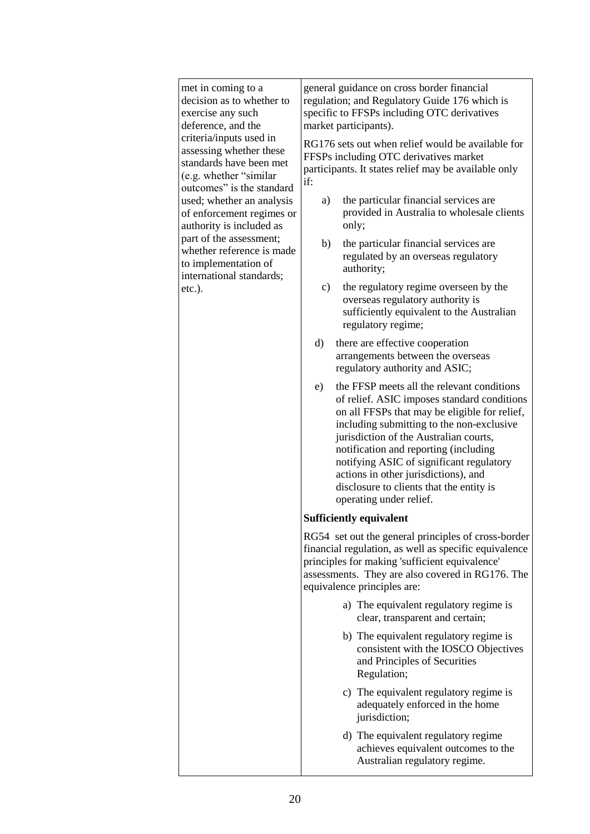| met in coming to a<br>decision as to whether to<br>exercise any such<br>deference, and the<br>criteria/inputs used in<br>assessing whether these<br>standards have been met<br>(e.g. whether "similar")<br>outcomes" is the standard | general guidance on cross border financial<br>regulation; and Regulatory Guide 176 which is<br>specific to FFSPs including OTC derivatives<br>market participants).                                                                                                                                                                                                                                                                         |
|--------------------------------------------------------------------------------------------------------------------------------------------------------------------------------------------------------------------------------------|---------------------------------------------------------------------------------------------------------------------------------------------------------------------------------------------------------------------------------------------------------------------------------------------------------------------------------------------------------------------------------------------------------------------------------------------|
|                                                                                                                                                                                                                                      | RG176 sets out when relief would be available for<br>FFSPs including OTC derivatives market<br>participants. It states relief may be available only<br>if:                                                                                                                                                                                                                                                                                  |
| used; whether an analysis<br>of enforcement regimes or<br>authority is included as                                                                                                                                                   | the particular financial services are<br>a)<br>provided in Australia to wholesale clients<br>only;                                                                                                                                                                                                                                                                                                                                          |
| part of the assessment;<br>whether reference is made<br>to implementation of<br>international standards;                                                                                                                             | b)<br>the particular financial services are<br>regulated by an overseas regulatory<br>authority;                                                                                                                                                                                                                                                                                                                                            |
| $etc.$ ).                                                                                                                                                                                                                            | the regulatory regime overseen by the<br>$\mathbf{c})$<br>overseas regulatory authority is<br>sufficiently equivalent to the Australian<br>regulatory regime;                                                                                                                                                                                                                                                                               |
|                                                                                                                                                                                                                                      | $\rm d$<br>there are effective cooperation<br>arrangements between the overseas<br>regulatory authority and ASIC;                                                                                                                                                                                                                                                                                                                           |
|                                                                                                                                                                                                                                      | the FFSP meets all the relevant conditions<br>e)<br>of relief. ASIC imposes standard conditions<br>on all FFSPs that may be eligible for relief,<br>including submitting to the non-exclusive<br>jurisdiction of the Australian courts,<br>notification and reporting (including<br>notifying ASIC of significant regulatory<br>actions in other jurisdictions), and<br>disclosure to clients that the entity is<br>operating under relief. |
|                                                                                                                                                                                                                                      | <b>Sufficiently equivalent</b>                                                                                                                                                                                                                                                                                                                                                                                                              |
|                                                                                                                                                                                                                                      | RG54 set out the general principles of cross-border<br>financial regulation, as well as specific equivalence<br>principles for making 'sufficient equivalence'<br>assessments. They are also covered in RG176. The<br>equivalence principles are:                                                                                                                                                                                           |
|                                                                                                                                                                                                                                      | a) The equivalent regulatory regime is<br>clear, transparent and certain;                                                                                                                                                                                                                                                                                                                                                                   |
|                                                                                                                                                                                                                                      | b) The equivalent regulatory regime is<br>consistent with the IOSCO Objectives<br>and Principles of Securities<br>Regulation;                                                                                                                                                                                                                                                                                                               |
|                                                                                                                                                                                                                                      | c) The equivalent regulatory regime is<br>adequately enforced in the home<br>jurisdiction;                                                                                                                                                                                                                                                                                                                                                  |
|                                                                                                                                                                                                                                      | d) The equivalent regulatory regime<br>achieves equivalent outcomes to the<br>Australian regulatory regime.                                                                                                                                                                                                                                                                                                                                 |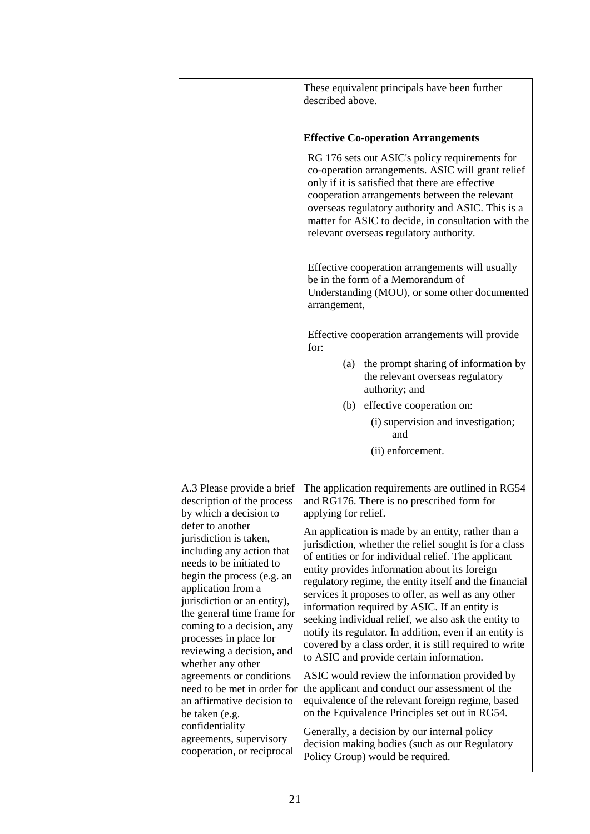|                                                                                                                                                                                                                                                                                                                                                                                                                     | These equivalent principals have been further<br>described above.                                                                                                                                                                                                                                                                                                                                                                                                                                                                                                                                                |
|---------------------------------------------------------------------------------------------------------------------------------------------------------------------------------------------------------------------------------------------------------------------------------------------------------------------------------------------------------------------------------------------------------------------|------------------------------------------------------------------------------------------------------------------------------------------------------------------------------------------------------------------------------------------------------------------------------------------------------------------------------------------------------------------------------------------------------------------------------------------------------------------------------------------------------------------------------------------------------------------------------------------------------------------|
|                                                                                                                                                                                                                                                                                                                                                                                                                     | <b>Effective Co-operation Arrangements</b>                                                                                                                                                                                                                                                                                                                                                                                                                                                                                                                                                                       |
|                                                                                                                                                                                                                                                                                                                                                                                                                     | RG 176 sets out ASIC's policy requirements for<br>co-operation arrangements. ASIC will grant relief<br>only if it is satisfied that there are effective<br>cooperation arrangements between the relevant<br>overseas regulatory authority and ASIC. This is a<br>matter for ASIC to decide, in consultation with the<br>relevant overseas regulatory authority.                                                                                                                                                                                                                                                  |
|                                                                                                                                                                                                                                                                                                                                                                                                                     | Effective cooperation arrangements will usually<br>be in the form of a Memorandum of<br>Understanding (MOU), or some other documented<br>arrangement,                                                                                                                                                                                                                                                                                                                                                                                                                                                            |
|                                                                                                                                                                                                                                                                                                                                                                                                                     | Effective cooperation arrangements will provide<br>for:                                                                                                                                                                                                                                                                                                                                                                                                                                                                                                                                                          |
|                                                                                                                                                                                                                                                                                                                                                                                                                     | the prompt sharing of information by<br>(a)<br>the relevant overseas regulatory<br>authority; and                                                                                                                                                                                                                                                                                                                                                                                                                                                                                                                |
|                                                                                                                                                                                                                                                                                                                                                                                                                     | (b) effective cooperation on:                                                                                                                                                                                                                                                                                                                                                                                                                                                                                                                                                                                    |
|                                                                                                                                                                                                                                                                                                                                                                                                                     | (i) supervision and investigation;<br>and                                                                                                                                                                                                                                                                                                                                                                                                                                                                                                                                                                        |
|                                                                                                                                                                                                                                                                                                                                                                                                                     | (ii) enforcement.                                                                                                                                                                                                                                                                                                                                                                                                                                                                                                                                                                                                |
| A.3 Please provide a brief<br>description of the process<br>by which a decision to<br>defer to another<br>jurisdiction is taken,<br>including any action that<br>needs to be initiated to<br>begin the process (e.g. an<br>application from a<br>jurisdiction or an entity),<br>the general time frame for<br>coming to a decision, any<br>processes in place for<br>reviewing a decision, and<br>whether any other | The application requirements are outlined in RG54<br>and RG176. There is no prescribed form for<br>applying for relief.                                                                                                                                                                                                                                                                                                                                                                                                                                                                                          |
|                                                                                                                                                                                                                                                                                                                                                                                                                     | An application is made by an entity, rather than a<br>jurisdiction, whether the relief sought is for a class<br>of entities or for individual relief. The applicant<br>entity provides information about its foreign<br>regulatory regime, the entity itself and the financial<br>services it proposes to offer, as well as any other<br>information required by ASIC. If an entity is<br>seeking individual relief, we also ask the entity to<br>notify its regulator. In addition, even if an entity is<br>covered by a class order, it is still required to write<br>to ASIC and provide certain information. |
| agreements or conditions<br>need to be met in order for<br>an affirmative decision to<br>be taken (e.g.                                                                                                                                                                                                                                                                                                             | ASIC would review the information provided by<br>the applicant and conduct our assessment of the<br>equivalence of the relevant foreign regime, based<br>on the Equivalence Principles set out in RG54.                                                                                                                                                                                                                                                                                                                                                                                                          |
| confidentiality<br>agreements, supervisory<br>cooperation, or reciprocal                                                                                                                                                                                                                                                                                                                                            | Generally, a decision by our internal policy<br>decision making bodies (such as our Regulatory<br>Policy Group) would be required.                                                                                                                                                                                                                                                                                                                                                                                                                                                                               |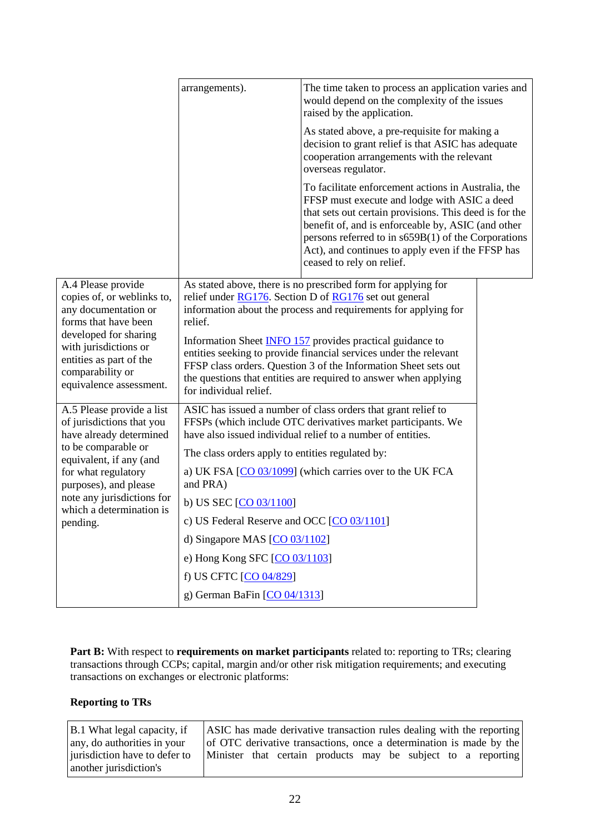|                                                                                                                                                                                                                              | arrangements).                                                       | The time taken to process an application varies and<br>would depend on the complexity of the issues<br>raised by the application.                                                                                                                                                                                                                              |  |
|------------------------------------------------------------------------------------------------------------------------------------------------------------------------------------------------------------------------------|----------------------------------------------------------------------|----------------------------------------------------------------------------------------------------------------------------------------------------------------------------------------------------------------------------------------------------------------------------------------------------------------------------------------------------------------|--|
|                                                                                                                                                                                                                              |                                                                      | As stated above, a pre-requisite for making a<br>decision to grant relief is that ASIC has adequate<br>cooperation arrangements with the relevant<br>overseas regulator.                                                                                                                                                                                       |  |
|                                                                                                                                                                                                                              |                                                                      | To facilitate enforcement actions in Australia, the<br>FFSP must execute and lodge with ASIC a deed<br>that sets out certain provisions. This deed is for the<br>benefit of, and is enforceable by, ASIC (and other<br>persons referred to in $s659B(1)$ of the Corporations<br>Act), and continues to apply even if the FFSP has<br>ceased to rely on relief. |  |
| A.4 Please provide<br>copies of, or weblinks to,<br>any documentation or<br>forms that have been<br>developed for sharing<br>with jurisdictions or<br>entities as part of the<br>comparability or<br>equivalence assessment. | relief.                                                              | As stated above, there is no prescribed form for applying for<br>relief under RG176. Section D of RG176 set out general<br>information about the process and requirements for applying for                                                                                                                                                                     |  |
|                                                                                                                                                                                                                              | for individual relief.                                               | Information Sheet <b>INFO 157</b> provides practical guidance to<br>entities seeking to provide financial services under the relevant<br>FFSP class orders. Question 3 of the Information Sheet sets out<br>the questions that entities are required to answer when applying                                                                                   |  |
| A.5 Please provide a list<br>of jurisdictions that you<br>have already determined                                                                                                                                            |                                                                      | ASIC has issued a number of class orders that grant relief to<br>FFSPs (which include OTC derivatives market participants. We<br>have also issued individual relief to a number of entities.                                                                                                                                                                   |  |
| to be comparable or                                                                                                                                                                                                          | The class orders apply to entities regulated by:                     |                                                                                                                                                                                                                                                                                                                                                                |  |
| equivalent, if any (and<br>for what regulatory<br>purposes), and please                                                                                                                                                      | a) UK FSA [CO 03/1099] (which carries over to the UK FCA<br>and PRA) |                                                                                                                                                                                                                                                                                                                                                                |  |
| note any jurisdictions for<br>which a determination is                                                                                                                                                                       | b) US SEC $[CO 03/1100]$                                             |                                                                                                                                                                                                                                                                                                                                                                |  |
| pending.                                                                                                                                                                                                                     | c) US Federal Reserve and OCC [CO 03/1101]                           |                                                                                                                                                                                                                                                                                                                                                                |  |
|                                                                                                                                                                                                                              | d) Singapore MAS $[CO 03/1102]$                                      |                                                                                                                                                                                                                                                                                                                                                                |  |
|                                                                                                                                                                                                                              | e) Hong Kong SFC $[CO 03/1103]$                                      |                                                                                                                                                                                                                                                                                                                                                                |  |
|                                                                                                                                                                                                                              | f) US CFTC [CO 04/829]                                               |                                                                                                                                                                                                                                                                                                                                                                |  |
|                                                                                                                                                                                                                              | g) German BaFin [CO 04/1313]                                         |                                                                                                                                                                                                                                                                                                                                                                |  |

**Part B:** With respect to **requirements on market participants** related to: reporting to TRs; clearing transactions through CCPs; capital, margin and/or other risk mitigation requirements; and executing transactions on exchanges or electronic platforms:

#### **Reporting to TRs**

| B.1 What legal capacity, if   | ASIC has made derivative transaction rules dealing with the reporting |  |
|-------------------------------|-----------------------------------------------------------------------|--|
| any, do authorities in your   | of OTC derivative transactions, once a determination is made by the   |  |
| jurisdiction have to defer to | Minister that certain products may be subject to a reporting          |  |
| another jurisdiction's        |                                                                       |  |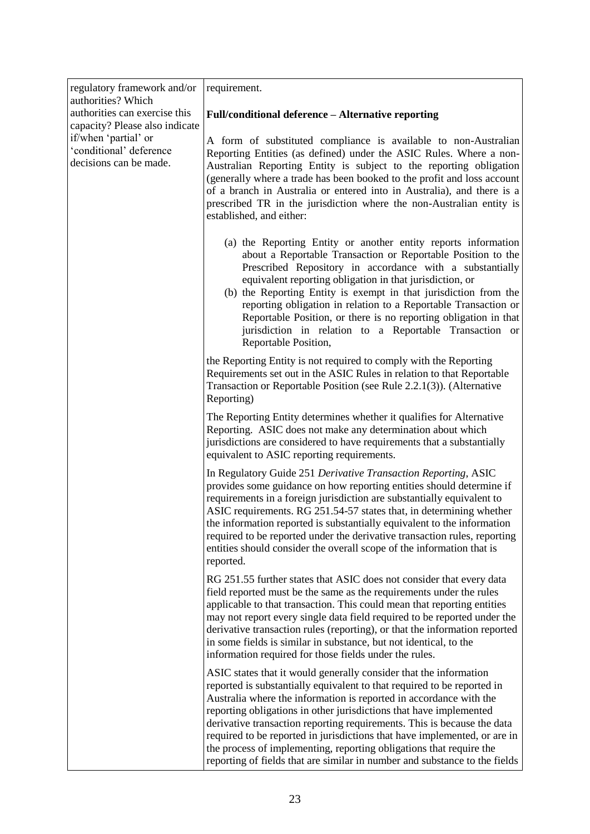| regulatory framework and/or<br>authorities? Which<br>authorities can exercise this<br>capacity? Please also indicate<br>if/when 'partial' or<br>'conditional' deference<br>decisions can be made. | requirement.                                                                                                                                                                                                                                                                                                                                                                                                                                                                                                                                                                                          |
|---------------------------------------------------------------------------------------------------------------------------------------------------------------------------------------------------|-------------------------------------------------------------------------------------------------------------------------------------------------------------------------------------------------------------------------------------------------------------------------------------------------------------------------------------------------------------------------------------------------------------------------------------------------------------------------------------------------------------------------------------------------------------------------------------------------------|
|                                                                                                                                                                                                   | Full/conditional deference - Alternative reporting                                                                                                                                                                                                                                                                                                                                                                                                                                                                                                                                                    |
|                                                                                                                                                                                                   | A form of substituted compliance is available to non-Australian<br>Reporting Entities (as defined) under the ASIC Rules. Where a non-<br>Australian Reporting Entity is subject to the reporting obligation<br>(generally where a trade has been booked to the profit and loss account<br>of a branch in Australia or entered into in Australia), and there is a<br>prescribed TR in the jurisdiction where the non-Australian entity is<br>established, and either:                                                                                                                                  |
|                                                                                                                                                                                                   | (a) the Reporting Entity or another entity reports information<br>about a Reportable Transaction or Reportable Position to the<br>Prescribed Repository in accordance with a substantially<br>equivalent reporting obligation in that jurisdiction, or<br>(b) the Reporting Entity is exempt in that jurisdiction from the<br>reporting obligation in relation to a Reportable Transaction or<br>Reportable Position, or there is no reporting obligation in that<br>jurisdiction in relation to a Reportable Transaction or<br>Reportable Position,                                                  |
|                                                                                                                                                                                                   | the Reporting Entity is not required to comply with the Reporting<br>Requirements set out in the ASIC Rules in relation to that Reportable<br>Transaction or Reportable Position (see Rule 2.2.1(3)). (Alternative<br>Reporting)                                                                                                                                                                                                                                                                                                                                                                      |
|                                                                                                                                                                                                   | The Reporting Entity determines whether it qualifies for Alternative<br>Reporting. ASIC does not make any determination about which<br>jurisdictions are considered to have requirements that a substantially<br>equivalent to ASIC reporting requirements.                                                                                                                                                                                                                                                                                                                                           |
|                                                                                                                                                                                                   | In Regulatory Guide 251 Derivative Transaction Reporting, ASIC<br>provides some guidance on how reporting entities should determine if<br>requirements in a foreign jurisdiction are substantially equivalent to<br>ASIC requirements. RG 251.54-57 states that, in determining whether<br>the information reported is substantially equivalent to the information<br>required to be reported under the derivative transaction rules, reporting<br>entities should consider the overall scope of the information that is<br>reported.                                                                 |
|                                                                                                                                                                                                   | RG 251.55 further states that ASIC does not consider that every data<br>field reported must be the same as the requirements under the rules<br>applicable to that transaction. This could mean that reporting entities<br>may not report every single data field required to be reported under the<br>derivative transaction rules (reporting), or that the information reported<br>in some fields is similar in substance, but not identical, to the<br>information required for those fields under the rules.                                                                                       |
|                                                                                                                                                                                                   | ASIC states that it would generally consider that the information<br>reported is substantially equivalent to that required to be reported in<br>Australia where the information is reported in accordance with the<br>reporting obligations in other jurisdictions that have implemented<br>derivative transaction reporting requirements. This is because the data<br>required to be reported in jurisdictions that have implemented, or are in<br>the process of implementing, reporting obligations that require the<br>reporting of fields that are similar in number and substance to the fields |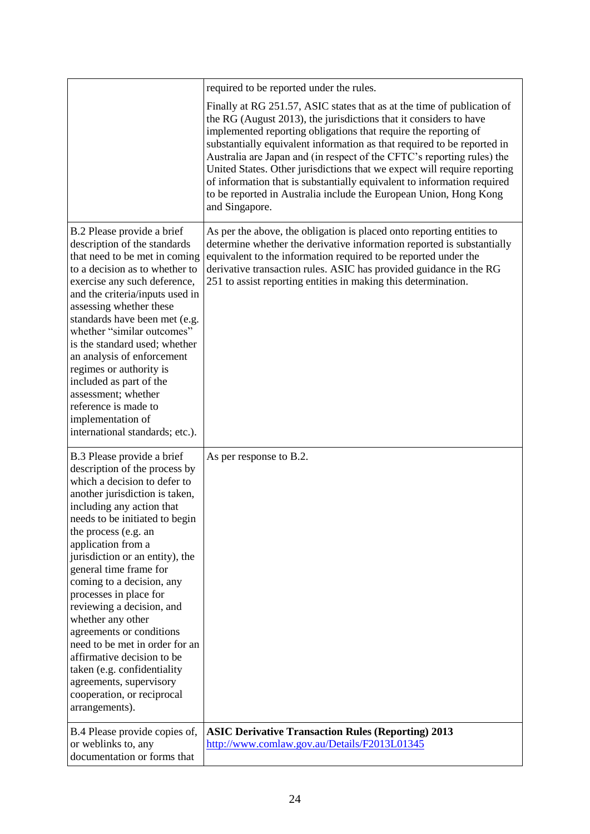|                                                                                                                                                                                                                                                                                                                                                                                                                                                                                                                                                                                                                        | required to be reported under the rules.                                                                                                                                                                                                                                                                                                                                                                                                                                                                                                                                                                           |
|------------------------------------------------------------------------------------------------------------------------------------------------------------------------------------------------------------------------------------------------------------------------------------------------------------------------------------------------------------------------------------------------------------------------------------------------------------------------------------------------------------------------------------------------------------------------------------------------------------------------|--------------------------------------------------------------------------------------------------------------------------------------------------------------------------------------------------------------------------------------------------------------------------------------------------------------------------------------------------------------------------------------------------------------------------------------------------------------------------------------------------------------------------------------------------------------------------------------------------------------------|
|                                                                                                                                                                                                                                                                                                                                                                                                                                                                                                                                                                                                                        | Finally at RG 251.57, ASIC states that as at the time of publication of<br>the RG (August 2013), the jurisdictions that it considers to have<br>implemented reporting obligations that require the reporting of<br>substantially equivalent information as that required to be reported in<br>Australia are Japan and (in respect of the CFTC's reporting rules) the<br>United States. Other jurisdictions that we expect will require reporting<br>of information that is substantially equivalent to information required<br>to be reported in Australia include the European Union, Hong Kong<br>and Singapore. |
| B.2 Please provide a brief<br>description of the standards<br>that need to be met in coming<br>to a decision as to whether to<br>exercise any such deference,<br>and the criteria/inputs used in<br>assessing whether these<br>standards have been met (e.g.<br>whether "similar outcomes"<br>is the standard used; whether<br>an analysis of enforcement<br>regimes or authority is<br>included as part of the<br>assessment; whether<br>reference is made to<br>implementation of<br>international standards; etc.).                                                                                                 | As per the above, the obligation is placed onto reporting entities to<br>determine whether the derivative information reported is substantially<br>equivalent to the information required to be reported under the<br>derivative transaction rules. ASIC has provided guidance in the RG<br>251 to assist reporting entities in making this determination.                                                                                                                                                                                                                                                         |
| B.3 Please provide a brief<br>description of the process by<br>which a decision to defer to<br>another jurisdiction is taken,<br>including any action that<br>needs to be initiated to begin<br>the process (e.g. an<br>application from a<br>jurisdiction or an entity), the<br>general time frame for<br>coming to a decision, any<br>processes in place for<br>reviewing a decision, and<br>whether any other<br>agreements or conditions<br>need to be met in order for an<br>affirmative decision to be<br>taken (e.g. confidentiality<br>agreements, supervisory<br>cooperation, or reciprocal<br>arrangements). | As per response to B.2.                                                                                                                                                                                                                                                                                                                                                                                                                                                                                                                                                                                            |
| B.4 Please provide copies of,<br>or weblinks to, any<br>documentation or forms that                                                                                                                                                                                                                                                                                                                                                                                                                                                                                                                                    | <b>ASIC Derivative Transaction Rules (Reporting) 2013</b><br>http://www.comlaw.gov.au/Details/F2013L01345                                                                                                                                                                                                                                                                                                                                                                                                                                                                                                          |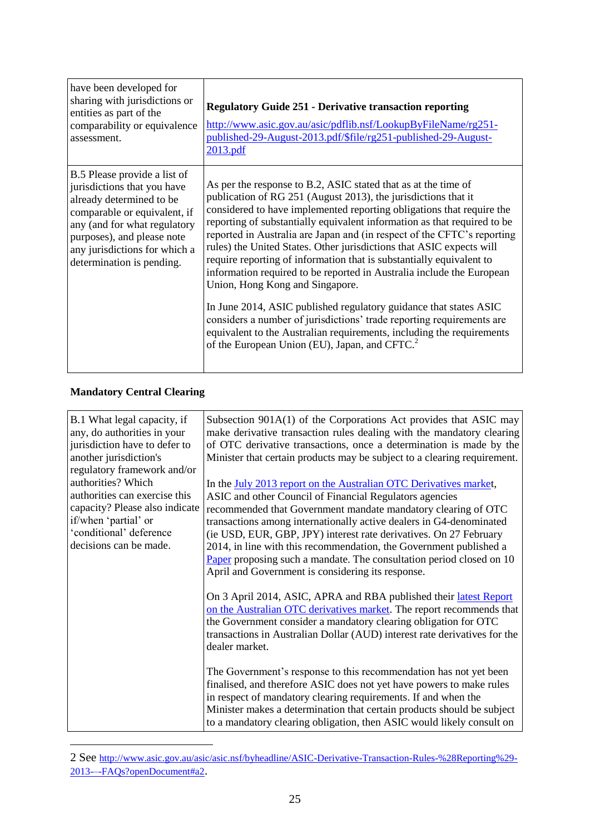| have been developed for<br>sharing with jurisdictions or<br>entities as part of the<br>comparability or equivalence<br>assessment.                                                                                                                  | <b>Regulatory Guide 251 - Derivative transaction reporting</b><br>http://www.asic.gov.au/asic/pdflib.nsf/LookupByFileName/rg251-<br>published-29-August-2013.pdf/\$file/rg251-published-29-August-<br>2013.pdf                                                                                                                                                                                                                                                                                                                                                                                                                                                                                                                                                                                                                                                                                                   |
|-----------------------------------------------------------------------------------------------------------------------------------------------------------------------------------------------------------------------------------------------------|------------------------------------------------------------------------------------------------------------------------------------------------------------------------------------------------------------------------------------------------------------------------------------------------------------------------------------------------------------------------------------------------------------------------------------------------------------------------------------------------------------------------------------------------------------------------------------------------------------------------------------------------------------------------------------------------------------------------------------------------------------------------------------------------------------------------------------------------------------------------------------------------------------------|
| B.5 Please provide a list of<br>jurisdictions that you have<br>already determined to be<br>comparable or equivalent, if<br>any (and for what regulatory<br>purposes), and please note<br>any jurisdictions for which a<br>determination is pending. | As per the response to B.2, ASIC stated that as at the time of<br>publication of RG 251 (August 2013), the jurisdictions that it<br>considered to have implemented reporting obligations that require the<br>reporting of substantially equivalent information as that required to be<br>reported in Australia are Japan and (in respect of the CFTC's reporting<br>rules) the United States. Other jurisdictions that ASIC expects will<br>require reporting of information that is substantially equivalent to<br>information required to be reported in Australia include the European<br>Union, Hong Kong and Singapore.<br>In June 2014, ASIC published regulatory guidance that states ASIC<br>considers a number of jurisdictions' trade reporting requirements are<br>equivalent to the Australian requirements, including the requirements<br>of the European Union (EU), Japan, and CFTC. <sup>2</sup> |

#### **Mandatory Central Clearing**

 $\overline{a}$ 

| B.1 What legal capacity, if<br>any, do authorities in your<br>jurisdiction have to defer to<br>another jurisdiction's<br>regulatory framework and/or<br>authorities? Which<br>authorities can exercise this<br>capacity? Please also indicate<br>if/when 'partial' or<br>'conditional' deference<br>decisions can be made. | Subsection 901A(1) of the Corporations Act provides that ASIC may<br>make derivative transaction rules dealing with the mandatory clearing<br>of OTC derivative transactions, once a determination is made by the<br>Minister that certain products may be subject to a clearing requirement.<br>In the <b>July 2013</b> report on the Australian OTC Derivatives market,<br>ASIC and other Council of Financial Regulators agencies<br>recommended that Government mandate mandatory clearing of OTC<br>transactions among internationally active dealers in G4-denominated<br>(ie USD, EUR, GBP, JPY) interest rate derivatives. On 27 February<br>2014, in line with this recommendation, the Government published a<br>Paper proposing such a mandate. The consultation period closed on 10<br>April and Government is considering its response. |
|----------------------------------------------------------------------------------------------------------------------------------------------------------------------------------------------------------------------------------------------------------------------------------------------------------------------------|------------------------------------------------------------------------------------------------------------------------------------------------------------------------------------------------------------------------------------------------------------------------------------------------------------------------------------------------------------------------------------------------------------------------------------------------------------------------------------------------------------------------------------------------------------------------------------------------------------------------------------------------------------------------------------------------------------------------------------------------------------------------------------------------------------------------------------------------------|
|                                                                                                                                                                                                                                                                                                                            | On 3 April 2014, ASIC, APRA and RBA published their latest Report<br>on the Australian OTC derivatives market. The report recommends that<br>the Government consider a mandatory clearing obligation for OTC<br>transactions in Australian Dollar (AUD) interest rate derivatives for the<br>dealer market.                                                                                                                                                                                                                                                                                                                                                                                                                                                                                                                                          |
|                                                                                                                                                                                                                                                                                                                            | The Government's response to this recommendation has not yet been<br>finalised, and therefore ASIC does not yet have powers to make rules<br>in respect of mandatory clearing requirements. If and when the<br>Minister makes a determination that certain products should be subject<br>to a mandatory clearing obligation, then ASIC would likely consult on                                                                                                                                                                                                                                                                                                                                                                                                                                                                                       |

<sup>2</sup> See [http://www.asic.gov.au/asic/asic.nsf/byheadline/ASIC-Derivative-Transaction-Rules-%28Reporting%29-](http://www.asic.gov.au/asic/asic.nsf/byheadline/ASIC-Derivative-Transaction-Rules-%28Reporting%29-2013-–-FAQs?openDocument#a2) [2013-–-FAQs?openDocument#a2](http://www.asic.gov.au/asic/asic.nsf/byheadline/ASIC-Derivative-Transaction-Rules-%28Reporting%29-2013-–-FAQs?openDocument#a2).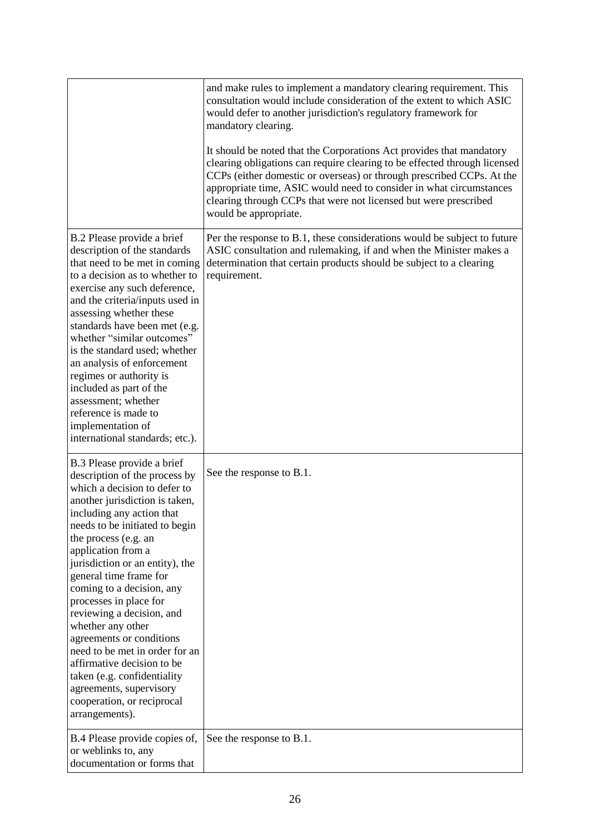|                                                                                                                                                                                                                                                                                                                                                                                                                                                                                                                                                                                                                        | and make rules to implement a mandatory clearing requirement. This<br>consultation would include consideration of the extent to which ASIC<br>would defer to another jurisdiction's regulatory framework for<br>mandatory clearing.<br>It should be noted that the Corporations Act provides that mandatory            |
|------------------------------------------------------------------------------------------------------------------------------------------------------------------------------------------------------------------------------------------------------------------------------------------------------------------------------------------------------------------------------------------------------------------------------------------------------------------------------------------------------------------------------------------------------------------------------------------------------------------------|------------------------------------------------------------------------------------------------------------------------------------------------------------------------------------------------------------------------------------------------------------------------------------------------------------------------|
|                                                                                                                                                                                                                                                                                                                                                                                                                                                                                                                                                                                                                        | clearing obligations can require clearing to be effected through licensed<br>CCPs (either domestic or overseas) or through prescribed CCPs. At the<br>appropriate time, ASIC would need to consider in what circumstances<br>clearing through CCPs that were not licensed but were prescribed<br>would be appropriate. |
| B.2 Please provide a brief<br>description of the standards<br>that need to be met in coming<br>to a decision as to whether to<br>exercise any such deference,<br>and the criteria/inputs used in<br>assessing whether these<br>standards have been met (e.g.<br>whether "similar outcomes"<br>is the standard used; whether<br>an analysis of enforcement<br>regimes or authority is<br>included as part of the<br>assessment; whether<br>reference is made to<br>implementation of<br>international standards; etc.).                                                                                                 | Per the response to B.1, these considerations would be subject to future<br>ASIC consultation and rulemaking, if and when the Minister makes a<br>determination that certain products should be subject to a clearing<br>requirement.                                                                                  |
| B.3 Please provide a brief<br>description of the process by<br>which a decision to defer to<br>another jurisdiction is taken,<br>including any action that<br>needs to be initiated to begin<br>the process (e.g. an<br>application from a<br>jurisdiction or an entity), the<br>general time frame for<br>coming to a decision, any<br>processes in place for<br>reviewing a decision, and<br>whether any other<br>agreements or conditions<br>need to be met in order for an<br>affirmative decision to be<br>taken (e.g. confidentiality<br>agreements, supervisory<br>cooperation, or reciprocal<br>arrangements). | See the response to B.1.                                                                                                                                                                                                                                                                                               |
| B.4 Please provide copies of,<br>or weblinks to, any<br>documentation or forms that                                                                                                                                                                                                                                                                                                                                                                                                                                                                                                                                    | See the response to B.1.                                                                                                                                                                                                                                                                                               |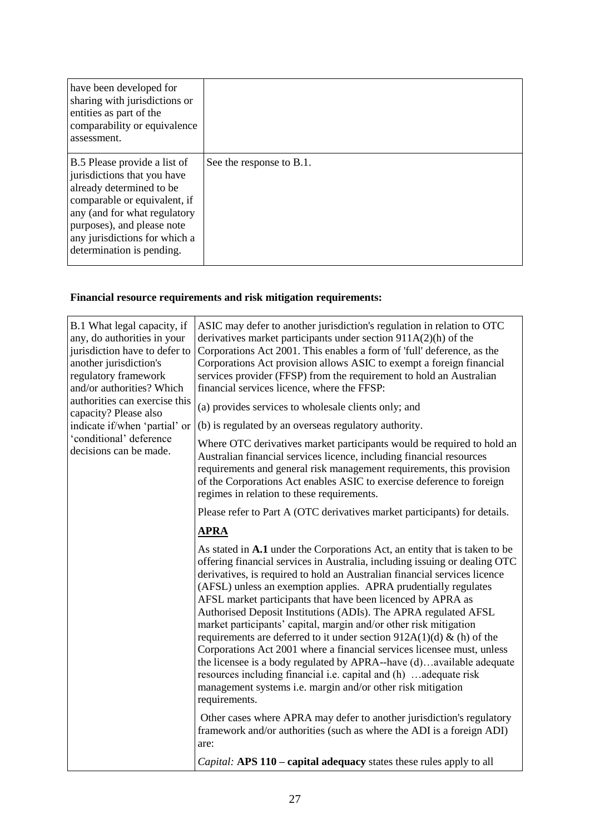| have been developed for<br>sharing with jurisdictions or<br>entities as part of the<br>comparability or equivalence<br>assessment.                                                                                                                  |                          |
|-----------------------------------------------------------------------------------------------------------------------------------------------------------------------------------------------------------------------------------------------------|--------------------------|
| B.5 Please provide a list of<br>jurisdictions that you have<br>already determined to be<br>comparable or equivalent, if<br>any (and for what regulatory<br>purposes), and please note<br>any jurisdictions for which a<br>determination is pending. | See the response to B.1. |

# **Financial resource requirements and risk mitigation requirements:**

| B.1 What legal capacity, if<br>any, do authorities in your<br>jurisdiction have to defer to<br>another jurisdiction's<br>regulatory framework<br>and/or authorities? Which<br>authorities can exercise this<br>capacity? Please also<br>indicate if/when 'partial' or<br>'conditional' deference<br>decisions can be made. | ASIC may defer to another jurisdiction's regulation in relation to OTC<br>derivatives market participants under section $911A(2)(h)$ of the<br>Corporations Act 2001. This enables a form of 'full' deference, as the<br>Corporations Act provision allows ASIC to exempt a foreign financial<br>services provider (FFSP) from the requirement to hold an Australian<br>financial services licence, where the FFSP:<br>(a) provides services to wholesale clients only; and<br>(b) is regulated by an overseas regulatory authority.<br>Where OTC derivatives market participants would be required to hold an<br>Australian financial services licence, including financial resources<br>requirements and general risk management requirements, this provision<br>of the Corporations Act enables ASIC to exercise deference to foreign<br>regimes in relation to these requirements.<br>Please refer to Part A (OTC derivatives market participants) for details. |
|----------------------------------------------------------------------------------------------------------------------------------------------------------------------------------------------------------------------------------------------------------------------------------------------------------------------------|---------------------------------------------------------------------------------------------------------------------------------------------------------------------------------------------------------------------------------------------------------------------------------------------------------------------------------------------------------------------------------------------------------------------------------------------------------------------------------------------------------------------------------------------------------------------------------------------------------------------------------------------------------------------------------------------------------------------------------------------------------------------------------------------------------------------------------------------------------------------------------------------------------------------------------------------------------------------|
|                                                                                                                                                                                                                                                                                                                            | <b>APRA</b>                                                                                                                                                                                                                                                                                                                                                                                                                                                                                                                                                                                                                                                                                                                                                                                                                                                                                                                                                         |
|                                                                                                                                                                                                                                                                                                                            | As stated in A.1 under the Corporations Act, an entity that is taken to be<br>offering financial services in Australia, including issuing or dealing OTC<br>derivatives, is required to hold an Australian financial services licence<br>(AFSL) unless an exemption applies. APRA prudentially regulates<br>AFSL market participants that have been licenced by APRA as<br>Authorised Deposit Institutions (ADIs). The APRA regulated AFSL<br>market participants' capital, margin and/or other risk mitigation<br>requirements are deferred to it under section $912A(1)(d)$ & (h) of the<br>Corporations Act 2001 where a financial services licensee must, unless<br>the licensee is a body regulated by APRA--have (d)available adequate<br>resources including financial i.e. capital and (h) adequate risk<br>management systems i.e. margin and/or other risk mitigation<br>requirements.                                                                    |
|                                                                                                                                                                                                                                                                                                                            | Other cases where APRA may defer to another jurisdiction's regulatory<br>framework and/or authorities (such as where the ADI is a foreign ADI)<br>are:                                                                                                                                                                                                                                                                                                                                                                                                                                                                                                                                                                                                                                                                                                                                                                                                              |
|                                                                                                                                                                                                                                                                                                                            | Capital: APS 110 – capital adequacy states these rules apply to all                                                                                                                                                                                                                                                                                                                                                                                                                                                                                                                                                                                                                                                                                                                                                                                                                                                                                                 |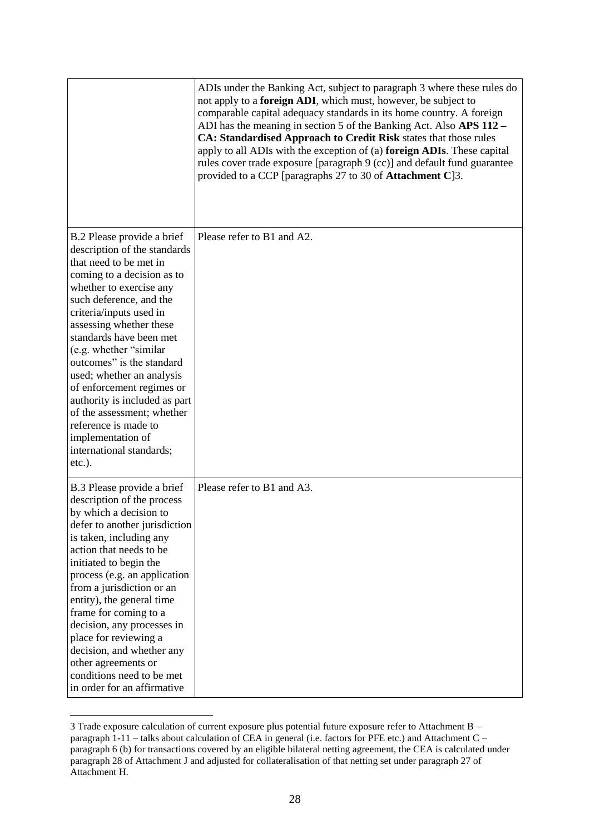|                                                                                                                                                                                                                                                                                                                                                                                                                                                                                                                                 | ADIs under the Banking Act, subject to paragraph 3 where these rules do<br>not apply to a foreign ADI, which must, however, be subject to<br>comparable capital adequacy standards in its home country. A foreign<br>ADI has the meaning in section 5 of the Banking Act. Also APS 112 –<br>CA: Standardised Approach to Credit Risk states that those rules<br>apply to all ADIs with the exception of (a) foreign ADIs. These capital<br>rules cover trade exposure [paragraph 9 (cc)] and default fund guarantee<br>provided to a CCP [paragraphs 27 to 30 of Attachment C]3. |
|---------------------------------------------------------------------------------------------------------------------------------------------------------------------------------------------------------------------------------------------------------------------------------------------------------------------------------------------------------------------------------------------------------------------------------------------------------------------------------------------------------------------------------|----------------------------------------------------------------------------------------------------------------------------------------------------------------------------------------------------------------------------------------------------------------------------------------------------------------------------------------------------------------------------------------------------------------------------------------------------------------------------------------------------------------------------------------------------------------------------------|
| B.2 Please provide a brief<br>description of the standards<br>that need to be met in<br>coming to a decision as to<br>whether to exercise any<br>such deference, and the<br>criteria/inputs used in<br>assessing whether these<br>standards have been met<br>(e.g. whether "similar<br>outcomes" is the standard<br>used; whether an analysis<br>of enforcement regimes or<br>authority is included as part<br>of the assessment; whether<br>reference is made to<br>implementation of<br>international standards;<br>$etc.$ ). | Please refer to B1 and A2.                                                                                                                                                                                                                                                                                                                                                                                                                                                                                                                                                       |
| B.3 Please provide a brief<br>description of the process<br>by which a decision to<br>defer to another jurisdiction<br>is taken, including any<br>action that needs to be<br>initiated to begin the<br>process (e.g. an application<br>from a jurisdiction or an<br>entity), the general time<br>frame for coming to a<br>decision, any processes in<br>place for reviewing a<br>decision, and whether any<br>other agreements or<br>conditions need to be met<br>in order for an affirmative                                   | Please refer to B1 and A3.                                                                                                                                                                                                                                                                                                                                                                                                                                                                                                                                                       |

<sup>3</sup> Trade exposure calculation of current exposure plus potential future exposure refer to Attachment B – paragraph 1-11 – talks about calculation of CEA in general (i.e. factors for PFE etc.) and Attachment C – paragraph 6 (b) for transactions covered by an eligible bilateral netting agreement, the CEA is calculated under paragraph 28 of Attachment J and adjusted for collateralisation of that netting set under paragraph 27 of Attachment H.

 $\overline{a}$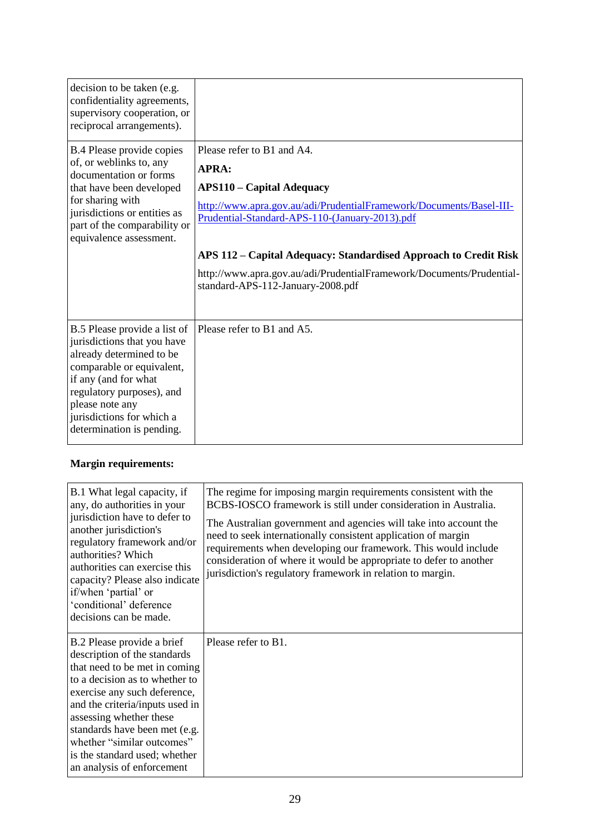| decision to be taken (e.g.<br>confidentiality agreements,<br>supervisory cooperation, or<br>reciprocal arrangements).                                                                                                                                  |                                                                                                                                                                                                                                                                                                                                                                                          |
|--------------------------------------------------------------------------------------------------------------------------------------------------------------------------------------------------------------------------------------------------------|------------------------------------------------------------------------------------------------------------------------------------------------------------------------------------------------------------------------------------------------------------------------------------------------------------------------------------------------------------------------------------------|
| B.4 Please provide copies<br>of, or weblinks to, any<br>documentation or forms<br>that have been developed<br>for sharing with<br>jurisdictions or entities as<br>part of the comparability or<br>equivalence assessment.                              | Please refer to B1 and A4.<br><b>APRA:</b><br><b>APS110 – Capital Adequacy</b><br>http://www.apra.gov.au/adi/PrudentialFramework/Documents/Basel-III-<br>Prudential-Standard-APS-110-(January-2013).pdf<br>APS 112 – Capital Adequacy: Standardised Approach to Credit Risk<br>http://www.apra.gov.au/adi/PrudentialFramework/Documents/Prudential-<br>standard-APS-112-January-2008.pdf |
| B.5 Please provide a list of<br>jurisdictions that you have<br>already determined to be<br>comparable or equivalent,<br>if any (and for what<br>regulatory purposes), and<br>please note any<br>jurisdictions for which a<br>determination is pending. | Please refer to B1 and A5.                                                                                                                                                                                                                                                                                                                                                               |

# **Margin requirements:**

| B.1 What legal capacity, if<br>any, do authorities in your<br>jurisdiction have to defer to<br>another jurisdiction's<br>regulatory framework and/or<br>authorities? Which<br>authorities can exercise this<br>capacity? Please also indicate<br>if/when 'partial' or<br>'conditional' deference<br>decisions can be made.                                | The regime for imposing margin requirements consistent with the<br>BCBS-IOSCO framework is still under consideration in Australia.<br>The Australian government and agencies will take into account the<br>need to seek internationally consistent application of margin<br>requirements when developing our framework. This would include<br>consideration of where it would be appropriate to defer to another<br>jurisdiction's regulatory framework in relation to margin. |
|-----------------------------------------------------------------------------------------------------------------------------------------------------------------------------------------------------------------------------------------------------------------------------------------------------------------------------------------------------------|--------------------------------------------------------------------------------------------------------------------------------------------------------------------------------------------------------------------------------------------------------------------------------------------------------------------------------------------------------------------------------------------------------------------------------------------------------------------------------|
| B.2 Please provide a brief<br>description of the standards<br>that need to be met in coming<br>to a decision as to whether to<br>exercise any such deference,<br>and the criteria/inputs used in<br>assessing whether these<br>standards have been met (e.g.<br>whether "similar outcomes"<br>is the standard used; whether<br>an analysis of enforcement | Please refer to B1.                                                                                                                                                                                                                                                                                                                                                                                                                                                            |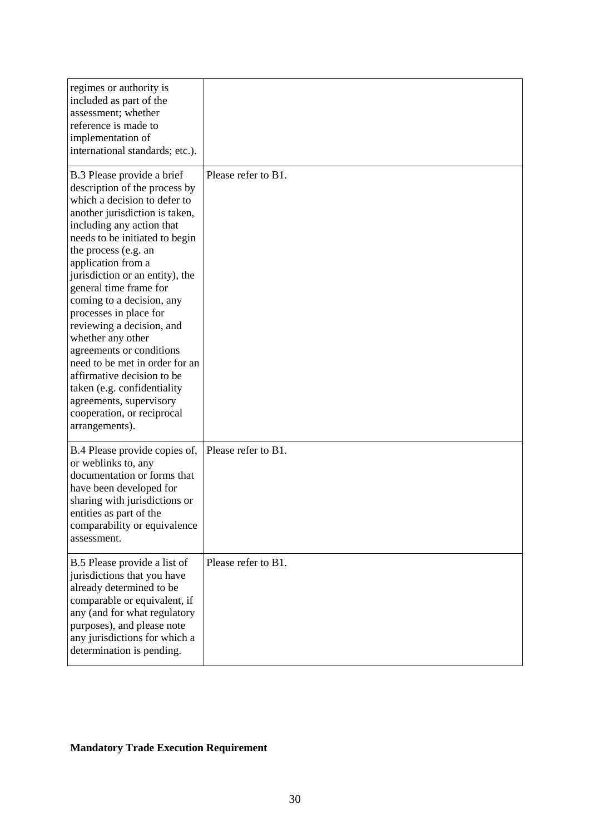| regimes or authority is<br>included as part of the<br>assessment; whether<br>reference is made to<br>implementation of<br>international standards; etc.).                                                                                                                                                                                                                                                                                                                                                                                                                                                              |                     |
|------------------------------------------------------------------------------------------------------------------------------------------------------------------------------------------------------------------------------------------------------------------------------------------------------------------------------------------------------------------------------------------------------------------------------------------------------------------------------------------------------------------------------------------------------------------------------------------------------------------------|---------------------|
| B.3 Please provide a brief<br>description of the process by<br>which a decision to defer to<br>another jurisdiction is taken,<br>including any action that<br>needs to be initiated to begin<br>the process (e.g. an<br>application from a<br>jurisdiction or an entity), the<br>general time frame for<br>coming to a decision, any<br>processes in place for<br>reviewing a decision, and<br>whether any other<br>agreements or conditions<br>need to be met in order for an<br>affirmative decision to be<br>taken (e.g. confidentiality<br>agreements, supervisory<br>cooperation, or reciprocal<br>arrangements). | Please refer to B1. |
| B.4 Please provide copies of,<br>or weblinks to, any<br>documentation or forms that<br>have been developed for<br>sharing with jurisdictions or<br>entities as part of the<br>comparability or equivalence<br>assessment.                                                                                                                                                                                                                                                                                                                                                                                              | Please refer to B1. |
| B.5 Please provide a list of<br>jurisdictions that you have<br>already determined to be<br>comparable or equivalent, if<br>any (and for what regulatory<br>purposes), and please note<br>any jurisdictions for which a<br>determination is pending.                                                                                                                                                                                                                                                                                                                                                                    | Please refer to B1. |

# **Mandatory Trade Execution Requirement**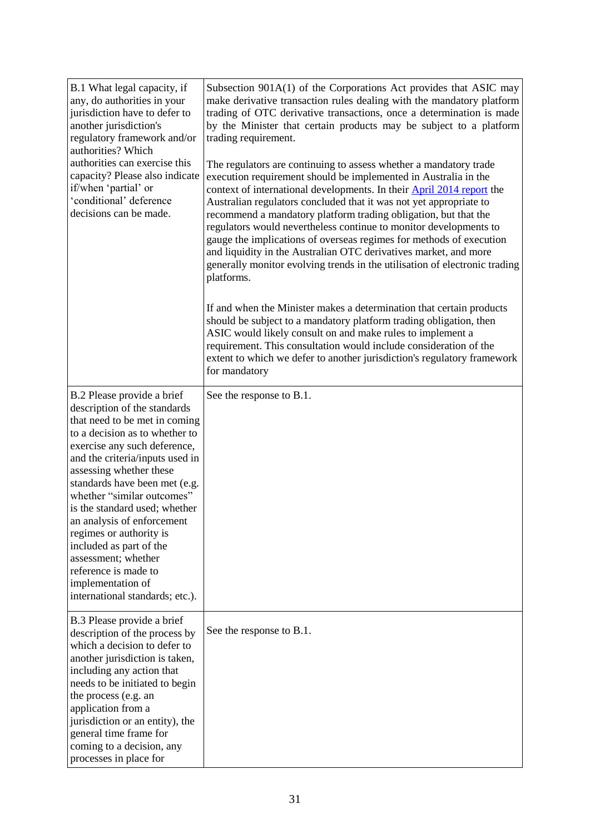| B.1 What legal capacity, if<br>any, do authorities in your<br>jurisdiction have to defer to<br>another jurisdiction's<br>regulatory framework and/or<br>authorities? Which<br>authorities can exercise this<br>capacity? Please also indicate<br>if/when 'partial' or<br>'conditional' deference<br>decisions can be made.                                                                                                                                                                                             | Subsection 901A(1) of the Corporations Act provides that ASIC may<br>make derivative transaction rules dealing with the mandatory platform<br>trading of OTC derivative transactions, once a determination is made<br>by the Minister that certain products may be subject to a platform<br>trading requirement.<br>The regulators are continuing to assess whether a mandatory trade<br>execution requirement should be implemented in Australia in the<br>context of international developments. In their <b>April 2014 report</b> the<br>Australian regulators concluded that it was not yet appropriate to<br>recommend a mandatory platform trading obligation, but that the<br>regulators would nevertheless continue to monitor developments to<br>gauge the implications of overseas regimes for methods of execution<br>and liquidity in the Australian OTC derivatives market, and more<br>generally monitor evolving trends in the utilisation of electronic trading<br>platforms.<br>If and when the Minister makes a determination that certain products<br>should be subject to a mandatory platform trading obligation, then<br>ASIC would likely consult on and make rules to implement a<br>requirement. This consultation would include consideration of the<br>extent to which we defer to another jurisdiction's regulatory framework<br>for mandatory |
|------------------------------------------------------------------------------------------------------------------------------------------------------------------------------------------------------------------------------------------------------------------------------------------------------------------------------------------------------------------------------------------------------------------------------------------------------------------------------------------------------------------------|----------------------------------------------------------------------------------------------------------------------------------------------------------------------------------------------------------------------------------------------------------------------------------------------------------------------------------------------------------------------------------------------------------------------------------------------------------------------------------------------------------------------------------------------------------------------------------------------------------------------------------------------------------------------------------------------------------------------------------------------------------------------------------------------------------------------------------------------------------------------------------------------------------------------------------------------------------------------------------------------------------------------------------------------------------------------------------------------------------------------------------------------------------------------------------------------------------------------------------------------------------------------------------------------------------------------------------------------------------------------------|
| B.2 Please provide a brief<br>description of the standards<br>that need to be met in coming<br>to a decision as to whether to<br>exercise any such deference,<br>and the criteria/inputs used in<br>assessing whether these<br>standards have been met (e.g.<br>whether "similar outcomes"<br>is the standard used; whether<br>an analysis of enforcement<br>regimes or authority is<br>included as part of the<br>assessment; whether<br>reference is made to<br>implementation of<br>international standards; etc.). | See the response to B.1.                                                                                                                                                                                                                                                                                                                                                                                                                                                                                                                                                                                                                                                                                                                                                                                                                                                                                                                                                                                                                                                                                                                                                                                                                                                                                                                                                   |
| B.3 Please provide a brief<br>description of the process by<br>which a decision to defer to<br>another jurisdiction is taken,<br>including any action that<br>needs to be initiated to begin<br>the process (e.g. an<br>application from a<br>jurisdiction or an entity), the<br>general time frame for<br>coming to a decision, any<br>processes in place for                                                                                                                                                         | See the response to B.1.                                                                                                                                                                                                                                                                                                                                                                                                                                                                                                                                                                                                                                                                                                                                                                                                                                                                                                                                                                                                                                                                                                                                                                                                                                                                                                                                                   |